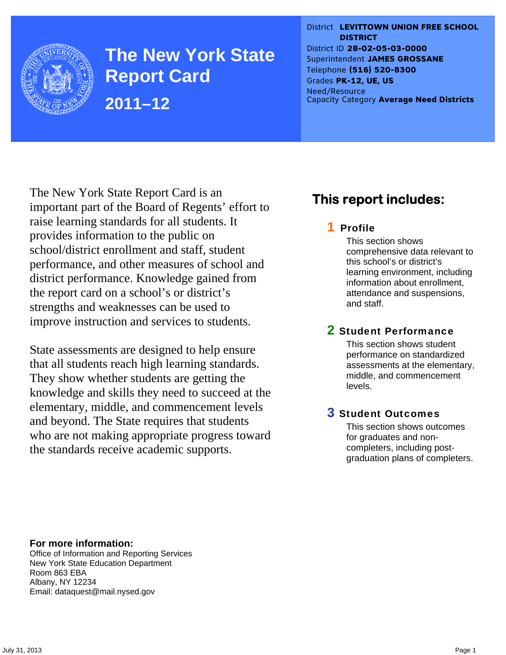

**The New York State Report Card 2011–12** 

District **LEVITTOWN UNION FREE SCHOOL DISTRICT** District ID **28-02-05-03-0000** Superintendent **JAMES GROSSANE** Telephone **(516) 520-8300** Grades **PK-12, UE, US** Need/Resource Capacity Category **Average Need Districts**

The New York State Report Card is an important part of the Board of Regents' effort to raise learning standards for all students. It provides information to the public on school/district enrollment and staff, student performance, and other measures of school and district performance. Knowledge gained from the report card on a school's or district's strengths and weaknesses can be used to improve instruction and services to students.

State assessments are designed to help ensure that all students reach high learning standards. They show whether students are getting the knowledge and skills they need to succeed at the elementary, middle, and commencement levels and beyond. The State requires that students who are not making appropriate progress toward the standards receive academic supports.

## **This report includes:**

### 1 Profile

This section shows comprehensive data relevant to this school's or district's learning environment, including information about enrollment, attendance and suspensions, and staff.

### 2 Student Performance

This section shows student performance on standardized assessments at the elementary, middle, and commencement levels.

### 3 Student Outcomes

This section shows outcomes for graduates and noncompleters, including postgraduation plans of completers.

**For more information:**  Office of Information and Reporting Services New York State Education Department Room 863 EBA Albany, NY 12234

Email: dataquest@mail.nysed.gov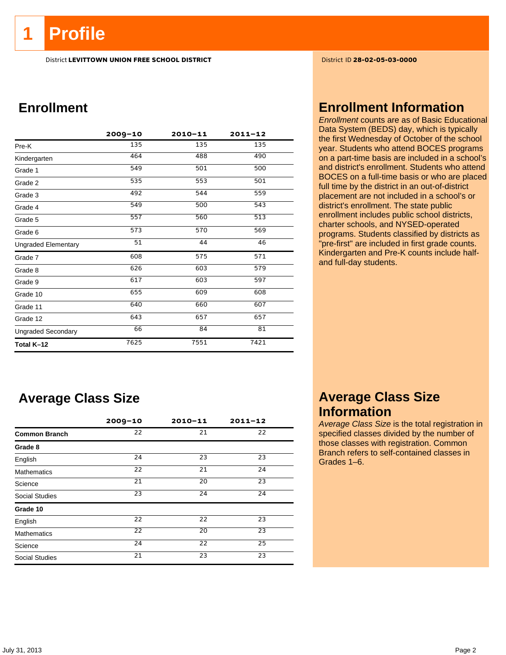## **1 Profile**

District **LEVITTOWN UNION FREE SCHOOL DISTRICT** District ID **28-02-05-03-0000**

## **Enrollment**

|                            | $2009 - 10$ | $2010 - 11$ | $2011 - 12$ |
|----------------------------|-------------|-------------|-------------|
| Pre-K                      | 135         | 135         | 135         |
| Kindergarten               | 464         | 488         | 490         |
| Grade 1                    | 549         | 501         | 500         |
| Grade 2                    | 535         | 553         | 501         |
| Grade 3                    | 492         | 544         | 559         |
| Grade 4                    | 549         | 500         | 543         |
| Grade 5                    | 557         | 560         | 513         |
| Grade 6                    | 573         | 570         | 569         |
| <b>Ungraded Elementary</b> | 51          | 44          | 46          |
| Grade 7                    | 608         | 575         | 571         |
| Grade 8                    | 626         | 603         | 579         |
| Grade 9                    | 617         | 603         | 597         |
| Grade 10                   | 655         | 609         | 608         |
| Grade 11                   | 640         | 660         | 607         |
| Grade 12                   | 643         | 657         | 657         |
| <b>Ungraded Secondary</b>  | 66          | 84          | 81          |
| Total K-12                 | 7625        | 7551        | 7421        |

## **Average Class Size**

|                       | $2009 - 10$     | $2010 - 11$ | $2011 - 12$     |
|-----------------------|-----------------|-------------|-----------------|
| <b>Common Branch</b>  | 22              | 21          | 22              |
| Grade 8               |                 |             |                 |
| English               | 24              | 23          | 23              |
| <b>Mathematics</b>    | 22              | 21          | 24              |
| Science               | 21              | 20          | 23              |
| <b>Social Studies</b> | 23              | 24          | $\overline{24}$ |
| Grade 10              |                 |             |                 |
| English               | 22              | 22          | 23              |
| <b>Mathematics</b>    | $\overline{22}$ | 20          | 23              |
| Science               | $\overline{24}$ | 22          | 25              |
| <b>Social Studies</b> | 21              | 23          | 23              |

## **Enrollment Information**

*Enrollment* counts are as of Basic Educational Data System (BEDS) day, which is typically the first Wednesday of October of the school year. Students who attend BOCES programs on a part-time basis are included in a school's and district's enrollment. Students who attend BOCES on a full-time basis or who are placed full time by the district in an out-of-district placement are not included in a school's or district's enrollment. The state public enrollment includes public school districts, charter schools, and NYSED-operated programs. Students classified by districts as "pre-first" are included in first grade counts. Kindergarten and Pre-K counts include halfand full-day students.

## **Average Class Size Information**

*Average Class Size* is the total registration in specified classes divided by the number of those classes with registration. Common Branch refers to self-contained classes in Grades 1–6.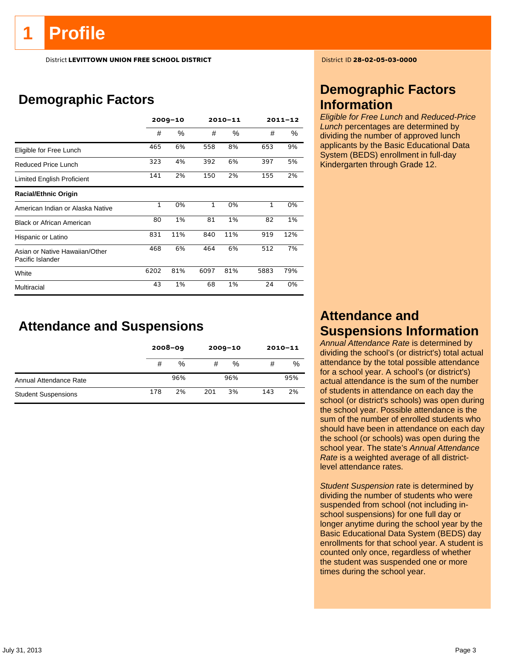# **Profile**

District **LEVITTOWN UNION FREE SCHOOL DISTRICT** District ID **28-02-05-03-0000**

## **Demographic Factors**

|                                                    |             | $2009 - 10$ |              | 2010-11 |      | $2011 - 12$ |
|----------------------------------------------------|-------------|-------------|--------------|---------|------|-------------|
|                                                    | #           | $\%$        | #            | %       | #    | $\%$        |
| Eligible for Free Lunch                            | 465         | 6%          | 558          | 8%      | 653  | 9%          |
| Reduced Price Lunch                                | 323         | 4%          | 392          | 6%      | 397  | 5%          |
| Limited English Proficient                         | 141         | 2%          | 150          | 2%      | 155  | 2%          |
| <b>Racial/Ethnic Origin</b>                        |             |             |              |         |      |             |
| American Indian or Alaska Native                   | $\mathbf 1$ | 0%          | $\mathbf{1}$ | 0%      | 1    | 0%          |
| <b>Black or African American</b>                   | 80          | 1%          | 81           | 1%      | 82   | 1%          |
| Hispanic or Latino                                 | 831         | 11%         | 840          | 11%     | 919  | 12%         |
| Asian or Native Hawaiian/Other<br>Pacific Islander | 468         | 6%          | 464          | 6%      | 512  | 7%          |
| White                                              | 6202        | 81%         | 6097         | 81%     | 5883 | 79%         |
| Multiracial                                        | 43          | 1%          | 68           | 1%      | 24   | 0%          |

**Attendance and Suspensions** 

|                            |     | $2008 - 09$ |     | $2009 - 10$ |     | $2010 - 11$ |
|----------------------------|-----|-------------|-----|-------------|-----|-------------|
|                            | #   | %           | #   | %           | #   | %           |
| Annual Attendance Rate     |     | 96%         |     | 96%         |     | 95%         |
| <b>Student Suspensions</b> | 178 | 2%          | 201 | 3%          | 143 | 2%          |

## **Demographic Factors Information**

*Eligible for Free Lunch* and *Reduced-Price Lunch* percentages are determined by dividing the number of approved lunch applicants by the Basic Educational Data System (BEDS) enrollment in full-day Kindergarten through Grade 12.

## **Attendance and Suspensions Information**

*Annual Attendance Rate* is determined by dividing the school's (or district's) total actual attendance by the total possible attendance for a school year. A school's (or district's) actual attendance is the sum of the number of students in attendance on each day the school (or district's schools) was open during the school year. Possible attendance is the sum of the number of enrolled students who should have been in attendance on each day the school (or schools) was open during the school year. The state's *Annual Attendance Rate* is a weighted average of all districtlevel attendance rates.

*Student Suspension* rate is determined by dividing the number of students who were suspended from school (not including inschool suspensions) for one full day or longer anytime during the school year by the Basic Educational Data System (BEDS) day enrollments for that school year. A student is counted only once, regardless of whether the student was suspended one or more times during the school year.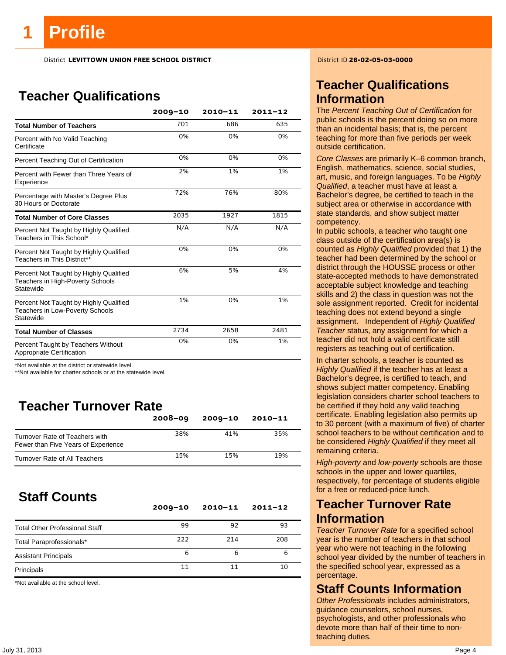District **LEVITTOWN UNION FREE SCHOOL DISTRICT** District ID **28-02-05-03-0000**

## **Teacher Qualifications**

|                                                                                               | $2009 - 10$ | $2010 - 11$ | $2011 - 12$ |
|-----------------------------------------------------------------------------------------------|-------------|-------------|-------------|
| <b>Total Number of Teachers</b>                                                               | 701         | 686         | 635         |
| Percent with No Valid Teaching<br>Certificate                                                 | 0%          | 0%          | 0%          |
| Percent Teaching Out of Certification                                                         | 0%          | 0%          | 0%          |
| Percent with Fewer than Three Years of<br>Experience                                          | 2%          | 1%          | 1%          |
| Percentage with Master's Degree Plus<br>30 Hours or Doctorate                                 | 72%         | 76%         | 80%         |
| <b>Total Number of Core Classes</b>                                                           | 2035        | 1927        | 1815        |
| Percent Not Taught by Highly Qualified<br>Teachers in This School*                            | N/A         | N/A         | N/A         |
| Percent Not Taught by Highly Qualified<br>Teachers in This District**                         | 0%          | 0%          | 0%          |
| Percent Not Taught by Highly Qualified<br>Teachers in High-Poverty Schools<br>Statewide       | 6%          | 5%          | 4%          |
| Percent Not Taught by Highly Qualified<br><b>Teachers in Low-Poverty Schools</b><br>Statewide | 1%          | 0%          | 1%          |
| <b>Total Number of Classes</b>                                                                | 2734        | 2658        | 2481        |
| Percent Taught by Teachers Without<br>Appropriate Certification                               | 0%          | 0%          | 1%          |

\*Not available at the district or statewide level.

\*\*Not available for charter schools or at the statewide level.

## **Teacher Turnover Rate**

|                                                                       | $2008 - 09$ | $2009 - 10$ | 2010-11 |
|-----------------------------------------------------------------------|-------------|-------------|---------|
| Turnover Rate of Teachers with<br>Fewer than Five Years of Experience | 38%         | 41%         | 35%     |
| <b>Turnover Rate of All Teachers</b>                                  | 15%         | 15%         | 19%     |

## **Staff Counts**

|                                       | $2009 - 10$ | $2010 - 11$ | $2011 - 12$ |
|---------------------------------------|-------------|-------------|-------------|
| <b>Total Other Professional Staff</b> | 99          | 92          | 93          |
| Total Paraprofessionals*              | 222         | 214         | 208         |
| <b>Assistant Principals</b>           | 6           | 6           | 6           |
| Principals                            | 11          |             | 10          |

\*Not available at the school level.

## **Teacher Qualifications Information**

The *Percent Teaching Out of Certification* for public schools is the percent doing so on more than an incidental basis; that is, the percent teaching for more than five periods per week outside certification.

*Core Classes* are primarily K–6 common branch, English, mathematics, science, social studies, art, music, and foreign languages. To be *Highly Qualified*, a teacher must have at least a Bachelor's degree, be certified to teach in the subject area or otherwise in accordance with state standards, and show subject matter competency.

In public schools, a teacher who taught one class outside of the certification area(s) is counted as *Highly Qualified* provided that 1) the teacher had been determined by the school or district through the HOUSSE process or other state-accepted methods to have demonstrated acceptable subject knowledge and teaching skills and 2) the class in question was not the sole assignment reported. Credit for incidental teaching does not extend beyond a single assignment. Independent of *Highly Qualified Teacher* status, any assignment for which a teacher did not hold a valid certificate still registers as teaching out of certification.

In charter schools, a teacher is counted as *Highly Qualified* if the teacher has at least a Bachelor's degree, is certified to teach, and shows subject matter competency. Enabling legislation considers charter school teachers to be certified if they hold any valid teaching certificate. Enabling legislation also permits up to 30 percent (with a maximum of five) of charter school teachers to be without certification and to be considered *Highly Qualified* if they meet all remaining criteria.

*High-poverty* and *low-poverty* schools are those schools in the upper and lower quartiles, respectively, for percentage of students eligible for a free or reduced-price lunch.

## **Teacher Turnover Rate Information**

*Teacher Turnover Rate* for a specified school year is the number of teachers in that school year who were not teaching in the following school year divided by the number of teachers in the specified school year, expressed as a percentage.

## **Staff Counts Information**

*Other Professionals* includes administrators, guidance counselors, school nurses, psychologists, and other professionals who devote more than half of their time to nonteaching duties.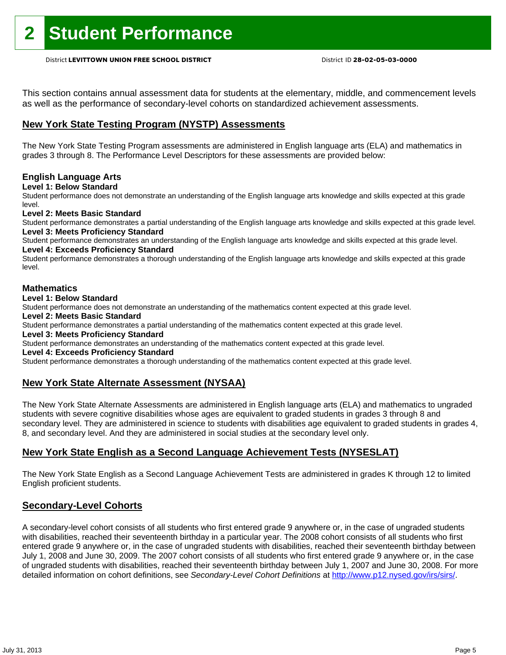This section contains annual assessment data for students at the elementary, middle, and commencement levels as well as the performance of secondary-level cohorts on standardized achievement assessments.

### **New York State Testing Program (NYSTP) Assessments**

The New York State Testing Program assessments are administered in English language arts (ELA) and mathematics in grades 3 through 8. The Performance Level Descriptors for these assessments are provided below:

### **English Language Arts**

**Level 1: Below Standard** 

Student performance does not demonstrate an understanding of the English language arts knowledge and skills expected at this grade level.

### **Level 2: Meets Basic Standard**

Student performance demonstrates a partial understanding of the English language arts knowledge and skills expected at this grade level. **Level 3: Meets Proficiency Standard** 

Student performance demonstrates an understanding of the English language arts knowledge and skills expected at this grade level. **Level 4: Exceeds Proficiency Standard** 

Student performance demonstrates a thorough understanding of the English language arts knowledge and skills expected at this grade level.

### **Mathematics**

### **Level 1: Below Standard**

Student performance does not demonstrate an understanding of the mathematics content expected at this grade level.

### **Level 2: Meets Basic Standard**

Student performance demonstrates a partial understanding of the mathematics content expected at this grade level.

### **Level 3: Meets Proficiency Standard**

Student performance demonstrates an understanding of the mathematics content expected at this grade level.

### **Level 4: Exceeds Proficiency Standard**

Student performance demonstrates a thorough understanding of the mathematics content expected at this grade level.

### **New York State Alternate Assessment (NYSAA)**

The New York State Alternate Assessments are administered in English language arts (ELA) and mathematics to ungraded students with severe cognitive disabilities whose ages are equivalent to graded students in grades 3 through 8 and secondary level. They are administered in science to students with disabilities age equivalent to graded students in grades 4, 8, and secondary level. And they are administered in social studies at the secondary level only.

### **New York State English as a Second Language Achievement Tests (NYSESLAT)**

The New York State English as a Second Language Achievement Tests are administered in grades K through 12 to limited English proficient students.

### **Secondary-Level Cohorts**

A secondary-level cohort consists of all students who first entered grade 9 anywhere or, in the case of ungraded students with disabilities, reached their seventeenth birthday in a particular year. The 2008 cohort consists of all students who first entered grade 9 anywhere or, in the case of ungraded students with disabilities, reached their seventeenth birthday between July 1, 2008 and June 30, 2009. The 2007 cohort consists of all students who first entered grade 9 anywhere or, in the case of ungraded students with disabilities, reached their seventeenth birthday between July 1, 2007 and June 30, 2008. For more detailed information on cohort definitions, see *Secondary-Level Cohort Definitions* at http://www.p12.nysed.gov/irs/sirs/.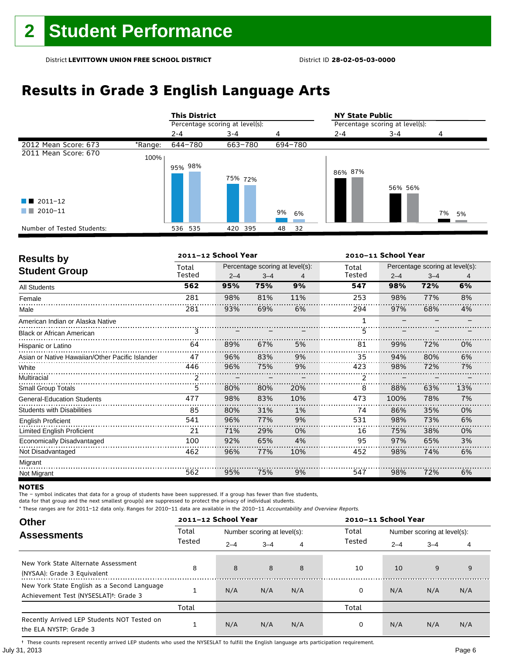## **Results in Grade 3 English Language Arts**

|                            |         | <b>This District</b>            |         |          | <b>NY State Public</b>          |         |       |  |
|----------------------------|---------|---------------------------------|---------|----------|---------------------------------|---------|-------|--|
|                            |         | Percentage scoring at level(s): |         |          | Percentage scoring at level(s): |         |       |  |
|                            |         | $2 - 4$                         | $3 - 4$ | 4        | $2 - 4$                         | 3-4     | 4     |  |
| 2012 Mean Score: 673       | *Range: | 644-780                         | 663-780 | 694-780  |                                 |         |       |  |
| 2011 Mean Score: 670       | 100%    | 95% 98%                         | 75% 72% |          | 86% 87%                         |         |       |  |
| $\blacksquare$ 2011-12     |         |                                 |         |          |                                 | 56% 56% |       |  |
| 2010-11<br>. .             |         |                                 |         | 9%<br>6% |                                 |         | 7% 5% |  |
| Number of Tested Students: |         | 536 535                         | 420 395 | 32<br>48 |                                 |         |       |  |

| <b>Results by</b>                               |        | 2011-12 School Year |                                 |     |             | 2010-11 School Year |                                 |     |  |  |
|-------------------------------------------------|--------|---------------------|---------------------------------|-----|-------------|---------------------|---------------------------------|-----|--|--|
|                                                 | Total  |                     | Percentage scoring at level(s): |     | Total       |                     | Percentage scoring at level(s): |     |  |  |
| <b>Student Group</b>                            | Tested | $2 - 4$             | $3 - 4$                         | 4   | Tested      | $2 - 4$             | $3 - 4$                         | 4   |  |  |
| <b>All Students</b>                             | 562    | 95%                 | 75%                             | 9%  | 547         | 98%                 | 72%                             | 6%  |  |  |
| Female                                          | 281    | 98%                 | 81%                             | 11% | 253         | 98%                 | 77%                             | 8%  |  |  |
| Male                                            | 281    | 93%                 | 69%                             | 6%  | 294         | 97%                 | 68%                             | 4%  |  |  |
| American Indian or Alaska Native                |        |                     |                                 |     | $\mathbf 1$ |                     |                                 |     |  |  |
| <b>Black or African American</b>                | 3      |                     |                                 |     | 5           |                     |                                 |     |  |  |
| Hispanic or Latino                              | 64     | 89%                 | 67%                             | 5%  | 81          | 99%                 | 72%                             | 0%  |  |  |
| Asian or Native Hawaiian/Other Pacific Islander | 47     | 96%                 | 83%                             | 9%  | 35          | 94%                 | 80%                             | 6%  |  |  |
| White                                           | 446    | 96%                 | 75%                             | 9%  | 423         | 98%                 | 72%                             | 7%  |  |  |
| Multiracial                                     | 2      |                     |                                 |     |             |                     |                                 |     |  |  |
| <b>Small Group Totals</b>                       | 5      | 80%                 | 80%                             | 20% | 8           | 88%                 | 63%                             | 13% |  |  |
| <b>General-Education Students</b>               | 477    | 98%                 | 83%                             | 10% | 473         | 100%                | 78%                             | 7%  |  |  |
| <b>Students with Disabilities</b>               | 85     | 80%                 | 31%                             | 1%  | 74          | 86%                 | 35%                             | 0%  |  |  |
| <b>English Proficient</b>                       | 541    | 96%                 | 77%                             | 9%  | 531         | 98%                 | 73%                             | 6%  |  |  |
| <b>Limited English Proficient</b>               | 21     | 71%                 | 29%                             | 0%  | 16          | 75%                 | 38%                             | 0%  |  |  |
| Economically Disadvantaged                      | 100    | 92%                 | 65%                             | 4%  | 95          | 97%                 | 65%                             | 3%  |  |  |
| Not Disadvantaged                               | 462    | 96%                 | 77%                             | 10% | 452         | 98%                 | 74%                             | 6%  |  |  |
| Migrant                                         |        |                     |                                 |     |             |                     |                                 |     |  |  |
| Not Migrant                                     | 562    | 95%                 | 75%                             | 9%  | 547         | 98%                 | 72%                             | 6%  |  |  |

### **NOTES**

The – symbol indicates that data for a group of students have been suppressed. If a group has fewer than five students,

data for that group and the next smallest group(s) are suppressed to protect the privacy of individual students.

\* These ranges are for 2011–12 data only. Ranges for 2010–11 data are available in the 2010–11 Accountability and Overview Reports.

| <b>Other</b>                                                                                      |        | 2011-12 School Year |                             |     |        | 2010-11 School Year |                             |     |  |  |
|---------------------------------------------------------------------------------------------------|--------|---------------------|-----------------------------|-----|--------|---------------------|-----------------------------|-----|--|--|
| <b>Assessments</b>                                                                                | Total  |                     | Number scoring at level(s): |     |        |                     | Number scoring at level(s): |     |  |  |
|                                                                                                   | Tested | $2 - 4$             | $3 - 4$                     | 4   | Tested | $2 - 4$             | $3 - 4$                     | 4   |  |  |
| New York State Alternate Assessment<br>(NYSAA): Grade 3 Equivalent                                | 8      | 8                   | 8                           | 8   | 10     | 10                  | 9                           | 9   |  |  |
| New York State English as a Second Language<br>Achievement Test (NYSESLAT) <sup>+</sup> : Grade 3 |        | N/A                 | N/A                         | N/A | 0      | N/A                 | N/A                         | N/A |  |  |
|                                                                                                   | Total  |                     |                             |     | Total  |                     |                             |     |  |  |
| Recently Arrived LEP Students NOT Tested on<br>the ELA NYSTP: Grade 3                             |        | N/A                 | N/A                         | N/A | 0      | N/A                 | N/A                         | N/A |  |  |

July 31, 2013 Page 6 † These counts represent recently arrived LEP students who used the NYSESLAT to fulfill the English language arts participation requirement.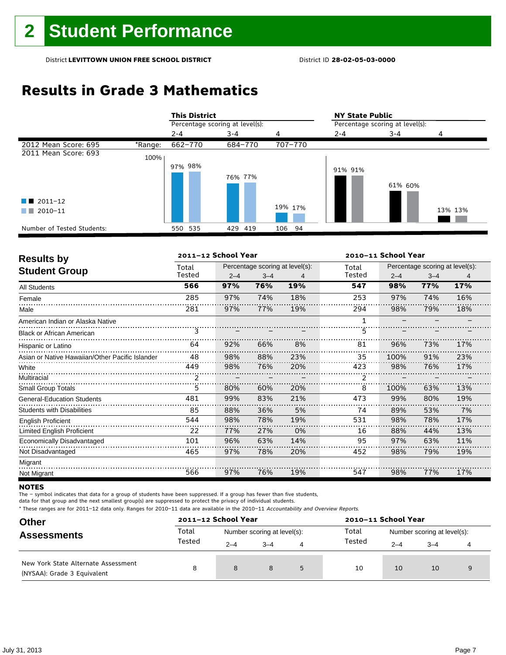## **Results in Grade 3 Mathematics**

|                            |         | <b>This District</b>            |            |           | <b>NY State Public</b>          |         |         |
|----------------------------|---------|---------------------------------|------------|-----------|---------------------------------|---------|---------|
|                            |         | Percentage scoring at level(s): |            |           | Percentage scoring at level(s): |         |         |
|                            |         | $2 - 4$                         | $3 - 4$    | 4         | $2 - 4$                         | $3 - 4$ | 4       |
| 2012 Mean Score: 695       | *Range: | 662-770                         | 684-770    | 707-770   |                                 |         |         |
| 2011 Mean Score: 693       | 100%    |                                 |            |           |                                 |         |         |
|                            |         | 97% 98%                         |            |           | 91% 91%                         |         |         |
|                            |         |                                 | 76% 77%    |           |                                 |         |         |
|                            |         |                                 |            |           |                                 | 61% 60% |         |
| $\blacksquare$ 2011-12     |         |                                 |            |           |                                 |         |         |
| 2010-11<br>a sa Tan        |         |                                 |            | 19% 17%   |                                 |         | 13% 13% |
|                            |         |                                 |            |           |                                 |         |         |
| Number of Tested Students: |         | 550 535                         | 429<br>419 | 106<br>94 |                                 |         |         |

| <b>Results by</b>                               |        | 2011-12 School Year |         |                                 |        | 2010-11 School Year |                                 |     |  |  |
|-------------------------------------------------|--------|---------------------|---------|---------------------------------|--------|---------------------|---------------------------------|-----|--|--|
| <b>Student Group</b>                            | Total  |                     |         | Percentage scoring at level(s): | Total  |                     | Percentage scoring at level(s): |     |  |  |
|                                                 | Tested | $2 - 4$             | $3 - 4$ | 4                               | Tested | $2 - 4$             | $3 - 4$                         | 4   |  |  |
| <b>All Students</b>                             | 566    | 97%                 | 76%     | 19%                             | 547    | 98%                 | 77%                             | 17% |  |  |
| Female                                          | 285    | 97%                 | 74%     | 18%                             | 253    | 97%                 | 74%                             | 16% |  |  |
| Male                                            | 281    | 97%                 | 77%     | 19%                             | 294    | 98%                 | 79%                             | 18% |  |  |
| American Indian or Alaska Native                |        |                     |         |                                 | 1      |                     |                                 |     |  |  |
| <b>Black or African American</b>                | 3      |                     |         |                                 | 5      |                     |                                 |     |  |  |
| Hispanic or Latino                              | 64     | 92%                 | 66%     | 8%                              | 81     | 96%                 | 73%                             | 17% |  |  |
| Asian or Native Hawaiian/Other Pacific Islander | 48     | 98%                 | 88%     | 23%                             | 35     | 100%                | 91%                             | 23% |  |  |
| White                                           | 449    | 98%                 | 76%     | 20%                             | 423    | 98%                 | 76%                             | 17% |  |  |
| Multiracial                                     | 2      |                     |         |                                 |        |                     |                                 |     |  |  |
| <b>Small Group Totals</b>                       | 5      | 80%                 | 60%     | 20%                             | 8      | 100%                | 63%                             | 13% |  |  |
| <b>General-Education Students</b>               | 481    | 99%                 | 83%     | 21%                             | 473    | 99%                 | 80%                             | 19% |  |  |
| <b>Students with Disabilities</b>               | 85     | 88%                 | 36%     | 5%                              | 74     | 89%                 | 53%                             | 7%  |  |  |
| <b>English Proficient</b>                       | 544    | 98%                 | 78%     | 19%                             | 531    | 98%                 | 78%                             | 17% |  |  |
| <b>Limited English Proficient</b>               | 22     | 77%                 | 27%     | 0%                              | 16     | 88%                 | 44%                             | 13% |  |  |
| Economically Disadvantaged                      | 101    | 96%                 | 63%     | 14%                             | 95     | 97%                 | 63%                             | 11% |  |  |
| Not Disadvantaged                               | 465    | 97%                 | 78%     | 20%                             | 452    | 98%                 | 79%                             | 19% |  |  |
| Migrant                                         |        |                     |         |                                 |        |                     |                                 |     |  |  |
| Not Migrant                                     | 566    | 97%                 | 76%     | 19%                             | 547    | 98%                 | 77%                             | 17% |  |  |

#### **NOTES**

The – symbol indicates that data for a group of students have been suppressed. If a group has fewer than five students,

data for that group and the next smallest group(s) are suppressed to protect the privacy of individual students.

| <b>Other</b><br><b>Assessments</b>                                 | 2011-12 School Year |                             |         |   | 2010-11 School Year |                             |         |   |
|--------------------------------------------------------------------|---------------------|-----------------------------|---------|---|---------------------|-----------------------------|---------|---|
|                                                                    | Total               | Number scoring at level(s): |         |   | Total               | Number scoring at level(s): |         |   |
|                                                                    | Tested              | $2 - 4$                     | $3 - 4$ | 4 | Tested              | $2 - 4$                     | $3 - 4$ |   |
| New York State Alternate Assessment<br>(NYSAA): Grade 3 Equivalent | 8                   | 8                           | 8       | 5 | 10                  | 10                          | 10      | 9 |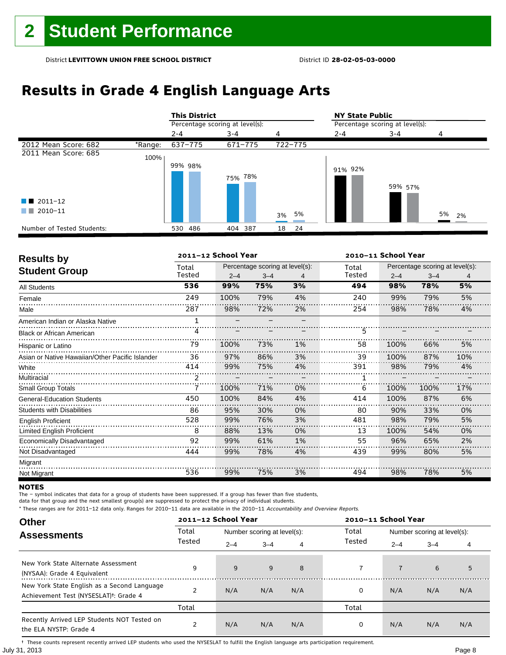## **Results in Grade 4 English Language Arts**

|                            |         | <b>This District</b>            |         |          | <b>NY State Public</b><br>Percentage scoring at level(s): |         |       |  |
|----------------------------|---------|---------------------------------|---------|----------|-----------------------------------------------------------|---------|-------|--|
|                            |         | Percentage scoring at level(s): |         |          |                                                           |         |       |  |
|                            |         | $2 - 4$                         | $3 - 4$ | 4        | $2 - 4$                                                   | $3 - 4$ | 4     |  |
| 2012 Mean Score: 682       | *Range: | 637-775                         | 671-775 | 722-775  |                                                           |         |       |  |
| 2011 Mean Score: 685       | 100%    |                                 |         |          |                                                           |         |       |  |
|                            |         | 99% 98%                         |         |          | 91% 92%                                                   |         |       |  |
|                            |         |                                 | 75% 78% |          |                                                           |         |       |  |
|                            |         |                                 |         |          |                                                           | 59% 57% |       |  |
| $\blacksquare$ 2011-12     |         |                                 |         |          |                                                           |         |       |  |
| 2010-11<br>a kacamatan     |         |                                 |         | 3% 5%    |                                                           |         | 5% 2% |  |
|                            |         |                                 |         |          |                                                           |         |       |  |
| Number of Tested Students: |         | 530 486                         | 404 387 | 24<br>18 |                                                           |         |       |  |

| <b>Results by</b>                               |        | 2011-12 School Year |                                 |    | 2010-11 School Year |         |                                 |     |  |
|-------------------------------------------------|--------|---------------------|---------------------------------|----|---------------------|---------|---------------------------------|-----|--|
| <b>Student Group</b>                            | Total  |                     | Percentage scoring at level(s): |    | Total               |         | Percentage scoring at level(s): |     |  |
|                                                 | Tested | $2 - 4$             | $3 - 4$                         | 4  | Tested              | $2 - 4$ | $3 - 4$                         | 4   |  |
| All Students                                    | 536    | 99%                 | 75%                             | 3% | 494                 | 98%     | 78%                             | 5%  |  |
| Female                                          | 249    | 100%                | 79%                             | 4% | 240                 | 99%     | 79%                             | 5%  |  |
| Male                                            | 287    | 98%                 | 72%                             | 2% | 254                 | 98%     | 78%                             | 4%  |  |
| American Indian or Alaska Native                | 1      |                     |                                 |    |                     |         |                                 |     |  |
| <b>Black or African American</b>                | 4      |                     |                                 |    | 5                   |         |                                 |     |  |
| Hispanic or Latino                              | 79     | 100%                | 73%                             | 1% | 58                  | 100%    | 66%                             | 5%  |  |
| Asian or Native Hawaiian/Other Pacific Islander | 36     | 97%                 | 86%                             | 3% | 39                  | 100%    | 87%                             | 10% |  |
| White                                           | 414    | 99%                 | 75%                             | 4% | 391                 | 98%     | 79%                             | 4%  |  |
| Multiracial                                     | 2      |                     |                                 |    |                     |         |                                 |     |  |
| <b>Small Group Totals</b>                       |        | 100%                | 71%                             | 0% | 6                   | 100%    | 100%                            | 17% |  |
| <b>General-Education Students</b>               | 450    | 100%                | 84%                             | 4% | 414                 | 100%    | 87%                             | 6%  |  |
| <b>Students with Disabilities</b>               | 86     | 95%                 | 30%                             | 0% | 80                  | 90%     | 33%                             | 0%  |  |
| <b>English Proficient</b>                       | 528    | 99%                 | 76%                             | 3% | 481                 | 98%     | 79%                             | 5%  |  |
| Limited English Proficient                      | 8      | 88%                 | 13%                             | 0% | 13                  | 100%    | 54%                             | 0%  |  |
| Economically Disadvantaged                      | 92     | 99%                 | 61%                             | 1% | 55                  | 96%     | 65%                             | 2%  |  |
| Not Disadvantaged                               | 444    | 99%                 | 78%                             | 4% | 439                 | 99%     | 80%                             | 5%  |  |
| Migrant                                         |        |                     |                                 |    |                     |         |                                 |     |  |
| Not Migrant                                     | 536    | 99%                 | 75%                             | 3% | 494                 | 98%     | 78%                             | 5%  |  |

#### **NOTES**

The – symbol indicates that data for a group of students have been suppressed. If a group has fewer than five students,

data for that group and the next smallest group(s) are suppressed to protect the privacy of individual students.

\* These ranges are for 2011–12 data only. Ranges for 2010–11 data are available in the 2010–11 Accountability and Overview Reports.

| <b>Other</b>                                                                                      |        | 2011-12 School Year |                             |     | 2010-11 School Year |                             |         |     |  |
|---------------------------------------------------------------------------------------------------|--------|---------------------|-----------------------------|-----|---------------------|-----------------------------|---------|-----|--|
| <b>Assessments</b>                                                                                | Total  |                     | Number scoring at level(s): |     | Total               | Number scoring at level(s): |         |     |  |
|                                                                                                   | Tested | $2 - 4$             | $3 - 4$                     | 4   | Tested              | $2 - 4$                     | $3 - 4$ | 4   |  |
| New York State Alternate Assessment<br>(NYSAA): Grade 4 Equivalent                                | 9      | 9                   | 9                           | 8   |                     |                             | 6       | 5   |  |
| New York State English as a Second Language<br>Achievement Test (NYSESLAT) <sup>+</sup> : Grade 4 |        | N/A                 | N/A                         | N/A | 0                   | N/A                         | N/A     | N/A |  |
|                                                                                                   | Total  |                     |                             |     | Total               |                             |         |     |  |
| Recently Arrived LEP Students NOT Tested on<br>the ELA NYSTP: Grade 4                             | 2      | N/A                 | N/A                         | N/A | 0                   | N/A                         | N/A     | N/A |  |

July 31, 2013 Page 8 † These counts represent recently arrived LEP students who used the NYSESLAT to fulfill the English language arts participation requirement.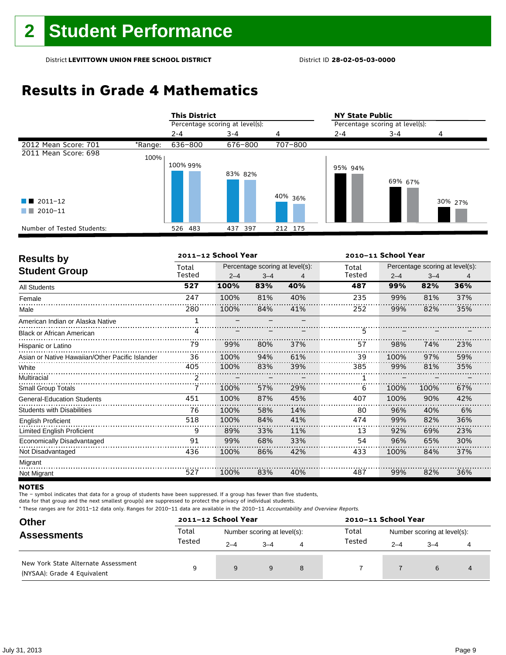## **Results in Grade 4 Mathematics**

|                                              |         | <b>This District</b>            |             |         | <b>NY State Public</b>          |         |         |  |  |
|----------------------------------------------|---------|---------------------------------|-------------|---------|---------------------------------|---------|---------|--|--|
|                                              |         | Percentage scoring at level(s): |             |         | Percentage scoring at level(s): |         |         |  |  |
|                                              |         | $2 - 4$                         | $3 - 4$     | 4       | $2 - 4$                         | $3 - 4$ | 4       |  |  |
| 2012 Mean Score: 701                         | *Range: | 636-800                         | 676-800     | 707-800 |                                 |         |         |  |  |
| 2011 Mean Score: 698                         | 100%    |                                 |             |         |                                 |         |         |  |  |
| $\blacksquare$ 2011-12<br>2010-11<br>and the |         | 100% 99%                        | 83% 82%     | 40% 36% | 95% 94%                         | 69% 67% | 30% 27% |  |  |
| Number of Tested Students:                   |         | 526 483                         | 437<br>-397 | 212 175 |                                 |         |         |  |  |

| <b>Results by</b>                               |              | 2011-12 School Year |                                 |     | 2010-11 School Year |         |                                 |     |
|-------------------------------------------------|--------------|---------------------|---------------------------------|-----|---------------------|---------|---------------------------------|-----|
| <b>Student Group</b>                            | Total        |                     | Percentage scoring at level(s): |     | Total               |         | Percentage scoring at level(s): |     |
|                                                 | Tested       | $2 - 4$             | $3 - 4$                         | 4   | Tested              | $2 - 4$ | $3 - 4$                         | 4   |
| <b>All Students</b>                             | 527          | 100%                | 83%                             | 40% | 487                 | 99%     | 82%                             | 36% |
| Female                                          | 247          | 100%                | 81%                             | 40% | 235                 | 99%     | 81%                             | 37% |
| Male                                            | 280          | 100%                | 84%                             | 41% | 252                 | 99%     | 82%                             | 35% |
| American Indian or Alaska Native                | $\mathbf{1}$ |                     |                                 |     |                     |         |                                 |     |
| <b>Black or African American</b>                | 4            |                     |                                 |     | 5                   |         |                                 |     |
| Hispanic or Latino                              | 79           | 99%                 | 80%                             | 37% | 57                  | 98%     | 74%                             | 23% |
| Asian or Native Hawaiian/Other Pacific Islander | 36           | 100%                | 94%                             | 61% | 39                  | 100%    | 97%                             | 59% |
| White                                           | 405          | 100%                | 83%                             | 39% | 385                 | 99%     | 81%                             | 35% |
| Multiracial                                     | 2            |                     |                                 |     |                     |         |                                 |     |
| <b>Small Group Totals</b>                       | 7            | 100%                | 57%                             | 29% | 6                   | 100%    | 100%                            | 67% |
| <b>General-Education Students</b>               | 451          | 100%                | 87%                             | 45% | 407                 | 100%    | 90%                             | 42% |
| <b>Students with Disabilities</b>               | 76           | 100%                | 58%                             | 14% | 80                  | 96%     | 40%                             | 6%  |
| <b>English Proficient</b>                       | 518          | 100%                | 84%                             | 41% | 474                 | 99%     | 82%                             | 36% |
| Limited English Proficient                      | 9            | 89%                 | 33%                             | 11% | 13                  | 92%     | 69%                             | 23% |
| Economically Disadvantaged                      | 91           | 99%                 | 68%                             | 33% | 54                  | 96%     | 65%                             | 30% |
| Not Disadvantaged                               | 436          | 100%                | 86%                             | 42% | 433                 | 100%    | 84%                             | 37% |
| Migrant                                         |              |                     |                                 |     |                     |         |                                 |     |
| Not Migrant                                     | 527          | 100%                | 83%                             | 40% | 487                 | 99%     | 82%                             | 36% |

#### **NOTES**

The – symbol indicates that data for a group of students have been suppressed. If a group has fewer than five students,

data for that group and the next smallest group(s) are suppressed to protect the privacy of individual students.

| <b>Other</b><br><b>Assessments</b>                                 | 2011-12 School Year |                             |         |   | 2010-11 School Year |                             |         |   |  |
|--------------------------------------------------------------------|---------------------|-----------------------------|---------|---|---------------------|-----------------------------|---------|---|--|
|                                                                    | Total               | Number scoring at level(s): |         |   | Total               | Number scoring at level(s): |         |   |  |
|                                                                    | Tested              | $2 - 4$                     | $3 - 4$ |   | Tested              | $2 - 4$                     | $3 - 4$ |   |  |
| New York State Alternate Assessment<br>(NYSAA): Grade 4 Equivalent | a                   | 9                           | 9       | 8 |                     |                             | 6       | 4 |  |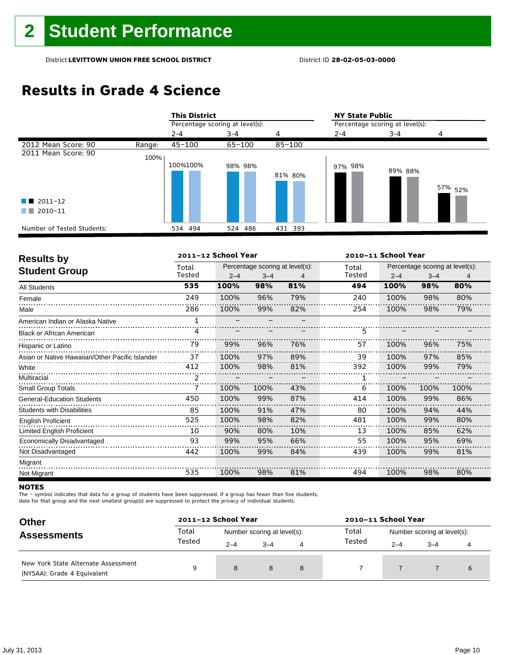## **Results in Grade 4 Science**

|                            |        | <b>This District</b>            |            |            | <b>NY State Public</b>          |         |                    |  |
|----------------------------|--------|---------------------------------|------------|------------|---------------------------------|---------|--------------------|--|
|                            |        | Percentage scoring at level(s): |            |            | Percentage scoring at level(s): |         |                    |  |
|                            |        | $2 - 4$                         | $3 - 4$    | 4          | $2 - 4$                         | $3 - 4$ | 4                  |  |
| 2012 Mean Score: 90        | Range: | $45 - 100$                      | $65 - 100$ | $85 - 100$ |                                 |         |                    |  |
| 2011 Mean Score: 90        | 100%   | 100%100%                        | 98% 98%    |            | 97% 98%                         |         |                    |  |
|                            |        |                                 |            | 81% 80%    |                                 | 89% 88% | 57% <sub>52%</sub> |  |
| $\blacksquare$ 2011-12     |        |                                 |            |            |                                 |         |                    |  |
| 2010-11<br>a kacamatan     |        |                                 |            |            |                                 |         |                    |  |
| Number of Tested Students: |        | 534 494                         | 524 486    | 431 393    |                                 |         |                    |  |

| <b>Results by</b>                               |        | 2011-12 School Year |                                 |     | 2010-11 School Year |         |                                 |      |  |
|-------------------------------------------------|--------|---------------------|---------------------------------|-----|---------------------|---------|---------------------------------|------|--|
| <b>Student Group</b>                            | Total  |                     | Percentage scoring at level(s): |     |                     |         | Percentage scoring at level(s): |      |  |
|                                                 | Tested | $2 - 4$             | $3 - 4$                         | 4   | Tested              | $2 - 4$ | $3 - 4$                         | 4    |  |
| <b>All Students</b>                             | 535    | 100%                | 98%                             | 81% | 494                 | 100%    | 98%                             | 80%  |  |
| Female                                          | 249    | 100%                | 96%                             | 79% | 240                 | 100%    | 98%                             | 80%  |  |
| Male                                            | 286    | 100%                | 99%                             | 82% | 254                 | 100%    | 98%                             | 79%  |  |
| American Indian or Alaska Native                | 1      |                     |                                 |     |                     |         |                                 |      |  |
| <b>Black or African American</b>                | 4      |                     |                                 |     | 5                   |         |                                 |      |  |
| Hispanic or Latino                              | 79     | 99%                 | 96%                             | 76% | 57                  | 100%    | 96%                             | 75%  |  |
| Asian or Native Hawaiian/Other Pacific Islander | 37     | 100%                | 97%                             | 89% | 39                  | 100%    | 97%                             | 85%  |  |
| White                                           | 412    | 100%                | 98%                             | 81% | 392                 | 100%    | 99%                             | 79%  |  |
| Multiracial                                     | 2      |                     |                                 |     |                     |         |                                 |      |  |
| <b>Small Group Totals</b>                       |        | 100%                | 100%                            | 43% | 6                   | 100%    | 100%                            | 100% |  |
| <b>General-Education Students</b>               | 450    | 100%                | 99%                             | 87% | 414                 | 100%    | 99%                             | 86%  |  |
| <b>Students with Disabilities</b>               | 85     | 100%                | 91%                             | 47% | 80                  | 100%    | 94%                             | 44%  |  |
| <b>English Proficient</b>                       | 525    | 100%                | 98%                             | 82% | 481                 | 100%    | 99%                             | 80%  |  |
| Limited English Proficient                      | 10     | 90%                 | 80%                             | 10% | 13                  | 100%    | 85%                             | 62%  |  |
| Economically Disadvantaged                      | 93     | 99%                 | 95%                             | 66% | 55                  | 100%    | 95%                             | 69%  |  |
| Not Disadvantaged                               | 442    | 100%                | 99%                             | 84% | 439                 | 100%    | 99%                             | 81%  |  |
| Migrant                                         |        |                     |                                 |     |                     |         |                                 |      |  |
| Not Migrant                                     | 535    | 100%                | 98%                             | 81% | 494                 | 100%    | 98%                             | 80%  |  |

### **NOTES**

The – symbol indicates that data for a group of students have been suppressed. If a group has fewer than five students,

data for that group and the next smallest group(s) are suppressed to protect the privacy of individual students.

| <b>Other</b><br><b>Assessments</b>                                 |        | 2011-12 School Year         |         |   | 2010-11 School Year |                             |         |   |  |
|--------------------------------------------------------------------|--------|-----------------------------|---------|---|---------------------|-----------------------------|---------|---|--|
|                                                                    | Total  | Number scoring at level(s): |         |   | Total               | Number scoring at level(s): |         |   |  |
|                                                                    | Tested | $2 - 4$                     | $3 - 4$ | 4 | Tested              | $2 - 4$                     | $3 - 4$ |   |  |
| New York State Alternate Assessment<br>(NYSAA): Grade 4 Equivalent | q      | 8                           | 8       | 8 |                     |                             |         | 6 |  |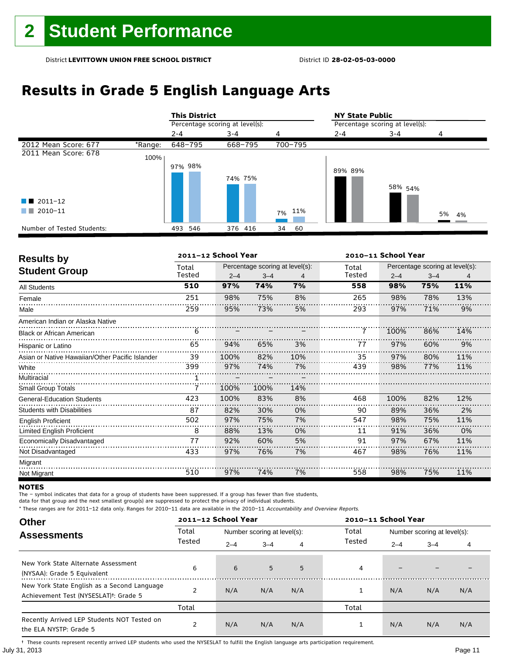## **Results in Grade 5 English Language Arts**

|                            |         | <b>This District</b>            |         |           | <b>NY State Public</b>          |                    |       |  |
|----------------------------|---------|---------------------------------|---------|-----------|---------------------------------|--------------------|-------|--|
|                            |         | Percentage scoring at level(s): |         |           | Percentage scoring at level(s): |                    |       |  |
|                            |         | $2 - 4$                         | $3 - 4$ | 4         | $2 - 4$                         | 3-4                | 4     |  |
| 2012 Mean Score: 677       | *Range: | 648-795                         | 668-795 | 700-795   |                                 |                    |       |  |
| 2011 Mean Score: 678       | 100%    | 97% 98%                         |         |           |                                 |                    |       |  |
|                            |         |                                 | 74% 75% |           | 89% 89%                         | 58% <sub>54%</sub> |       |  |
| $\blacksquare$ 2011-12     |         |                                 |         |           |                                 |                    |       |  |
| 2010-11<br>. .             |         |                                 |         | 11%<br>7% |                                 |                    | 5% 4% |  |
| Number of Tested Students: |         | 546<br>493                      | 376 416 | 60<br>34  |                                 |                    |       |  |

| <b>Results by</b>                               |        | 2011-12 School Year |                                 |     | 2010-11 School Year |         |                                 |     |  |
|-------------------------------------------------|--------|---------------------|---------------------------------|-----|---------------------|---------|---------------------------------|-----|--|
|                                                 | Total  |                     | Percentage scoring at level(s): |     | Total               |         | Percentage scoring at level(s): |     |  |
| <b>Student Group</b>                            | Tested | $2 - 4$             | $3 - 4$                         | 4   | Tested              | $2 - 4$ | $3 - 4$                         | 4   |  |
| <b>All Students</b>                             | 510    | 97%                 | 74%                             | 7%  | 558                 | 98%     | 75%                             | 11% |  |
| Female                                          | 251    | 98%                 | 75%                             | 8%  | 265                 | 98%     | 78%                             | 13% |  |
| Male                                            | 259    | 95%                 | 73%                             | 5%  | 293                 | 97%     | 71%                             | 9%  |  |
| American Indian or Alaska Native                |        |                     |                                 |     |                     |         |                                 |     |  |
| <b>Black or African American</b>                | 6      |                     |                                 |     |                     | 100%    | 86%                             | 14% |  |
| Hispanic or Latino                              | 65     | 94%                 | 65%                             | 3%  | 77                  | 97%     | 60%                             | 9%  |  |
| Asian or Native Hawaiian/Other Pacific Islander | 39     | 100%                | 82%                             | 10% | 35                  | 97%     | 80%                             | 11% |  |
| White                                           | 399    | 97%                 | 74%                             | 7%  | 439                 | 98%     | 77%                             | 11% |  |
| Multiracial                                     |        |                     |                                 |     |                     |         |                                 |     |  |
| <b>Small Group Totals</b>                       |        | 100%                | 100%                            | 14% |                     |         |                                 |     |  |
| <b>General-Education Students</b>               | 423    | 100%                | 83%                             | 8%  | 468                 | 100%    | 82%                             | 12% |  |
| <b>Students with Disabilities</b>               | 87     | 82%                 | 30%                             | 0%  | 90                  | 89%     | 36%                             | 2%  |  |
| <b>English Proficient</b>                       | 502    | 97%                 | 75%                             | 7%  | 547                 | 98%     | 75%                             | 11% |  |
| <b>Limited English Proficient</b>               | 8      | 88%                 | 13%                             | 0%  | 11                  | 91%     | 36%                             | 0%  |  |
| Economically Disadvantaged                      | 77     | 92%                 | 60%                             | 5%  | 91                  | 97%     | 67%                             | 11% |  |
| Not Disadvantaged                               | 433    | 97%                 | 76%                             | 7%  | 467                 | 98%     | 76%                             | 11% |  |
| Migrant                                         |        |                     |                                 |     |                     |         |                                 |     |  |
| Not Migrant                                     | 510    | 97%                 | 74%                             | 7%  | 558                 | 98%     | 75%                             | 11% |  |

### **NOTES**

The – symbol indicates that data for a group of students have been suppressed. If a group has fewer than five students,

data for that group and the next smallest group(s) are suppressed to protect the privacy of individual students.

\* These ranges are for 2011–12 data only. Ranges for 2010–11 data are available in the 2010–11 Accountability and Overview Reports.

| <b>Other</b>                                                                                      |        | 2011-12 School Year |                             |     | 2010-11 School Year |                             |         |     |
|---------------------------------------------------------------------------------------------------|--------|---------------------|-----------------------------|-----|---------------------|-----------------------------|---------|-----|
| <b>Assessments</b>                                                                                | Total  |                     | Number scoring at level(s): |     |                     | Number scoring at level(s): |         |     |
|                                                                                                   | Tested | $2 - 4$             | $3 - 4$                     | 4   | Tested              | $2 - 4$                     | $3 - 4$ | 4   |
| New York State Alternate Assessment<br>(NYSAA): Grade 5 Equivalent                                | 6      | 6                   | 5                           | 5   | 4                   | -                           |         |     |
| New York State English as a Second Language<br>Achievement Test (NYSESLAT) <sup>+</sup> : Grade 5 |        | N/A                 | N/A                         | N/A |                     | N/A                         | N/A     | N/A |
|                                                                                                   | Total  |                     |                             |     | Total               |                             |         |     |
| Recently Arrived LEP Students NOT Tested on<br>the ELA NYSTP: Grade 5                             |        | N/A                 | N/A                         | N/A |                     | N/A                         | N/A     | N/A |

July 31, 2013 Page 11 † These counts represent recently arrived LEP students who used the NYSESLAT to fulfill the English language arts participation requirement.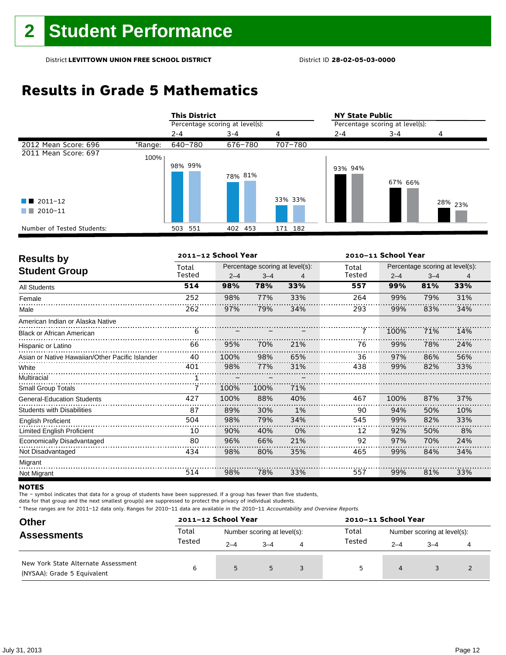## **Results in Grade 5 Mathematics**

|                            |         | <b>This District</b>            |         |         | <b>NY State Public</b>          |         |                    |
|----------------------------|---------|---------------------------------|---------|---------|---------------------------------|---------|--------------------|
|                            |         | Percentage scoring at level(s): |         |         | Percentage scoring at level(s): |         |                    |
|                            |         | $2 - 4$                         | $3 - 4$ | 4       | $2 - 4$                         | $3 - 4$ | 4                  |
| 2012 Mean Score: 696       | *Range: | 640-780                         | 676-780 | 707-780 |                                 |         |                    |
| 2011 Mean Score: 697       | 100%    |                                 |         |         |                                 |         |                    |
|                            |         | 98% 99%                         |         |         | 93% 94%                         |         |                    |
|                            |         |                                 | 78% 81% |         |                                 | 67% 66% |                    |
|                            |         |                                 |         |         |                                 |         |                    |
| $\blacksquare$ 2011-12     |         |                                 |         | 33% 33% |                                 |         | <sup>28%</sup> 23% |
| 2010-11<br>a sa T          |         |                                 |         |         |                                 |         |                    |
| Number of Tested Students: |         | 503 551                         | 402 453 | 171 182 |                                 |         |                    |

| <b>Results by</b>                               |        | 2011-12 School Year |                                 |     | 2010-11 School Year |      |                                                                                                                |     |  |
|-------------------------------------------------|--------|---------------------|---------------------------------|-----|---------------------|------|----------------------------------------------------------------------------------------------------------------|-----|--|
| <b>Student Group</b>                            | Total  |                     | Percentage scoring at level(s): |     | Total               |      | Percentage scoring at level(s):<br>$2 - 4$<br>$3 - 4$<br>81%<br>99%<br>99%<br>79%<br>99%<br>83%<br>100%<br>71% |     |  |
|                                                 | Tested | $2 - 4$             | $3 - 4$                         | 4   | Tested              |      |                                                                                                                | 4   |  |
| <b>All Students</b>                             | 514    | 98%                 | 78%                             | 33% | 557                 |      |                                                                                                                | 33% |  |
| Female                                          | 252    | 98%                 | 77%                             | 33% | 264                 |      |                                                                                                                | 31% |  |
| Male                                            | 262    | 97%                 | 79%                             | 34% | 293                 |      |                                                                                                                | 34% |  |
| American Indian or Alaska Native                |        |                     |                                 |     |                     |      |                                                                                                                |     |  |
| <b>Black or African American</b>                | 6      |                     |                                 |     | 7                   |      |                                                                                                                | 14% |  |
| Hispanic or Latino                              | 66     | 95%                 | 70%                             | 21% | 76                  | 99%  | 78%                                                                                                            | 24% |  |
| Asian or Native Hawaiian/Other Pacific Islander | 40     | 100%                | 98%                             | 65% | 36                  | 97%  | 86%                                                                                                            | 56% |  |
| White                                           | 401    | 98%                 | 77%                             | 31% | 438                 | 99%  | 82%                                                                                                            | 33% |  |
| Multiracial                                     | 1      |                     |                                 |     |                     |      |                                                                                                                |     |  |
| <b>Small Group Totals</b>                       | 7      | 100%                | 100%                            | 71% |                     |      |                                                                                                                |     |  |
| <b>General-Education Students</b>               | 427    | 100%                | 88%                             | 40% | 467                 | 100% | 87%                                                                                                            | 37% |  |
| <b>Students with Disabilities</b>               | 87     | 89%                 | 30%                             | 1%  | 90                  | 94%  | 50%                                                                                                            | 10% |  |
| <b>English Proficient</b>                       | 504    | 98%                 | 79%                             | 34% | 545                 | 99%  | 82%                                                                                                            | 33% |  |
| <b>Limited English Proficient</b>               | 10     | 90%                 | 40%                             | 0%  | 12                  | 92%  | 50%                                                                                                            | 8%  |  |
| Economically Disadvantaged                      | 80     | 96%                 | 66%                             | 21% | 92                  | 97%  | 70%                                                                                                            | 24% |  |
| Not Disadvantaged                               | 434    | 98%                 | 80%                             | 35% | 465                 | 99%  | 84%                                                                                                            | 34% |  |
| Migrant                                         |        |                     |                                 |     |                     |      |                                                                                                                |     |  |
| Not Migrant                                     | 514    | 98%                 | 78%                             | 33% | 557                 | 99%  | 81%                                                                                                            | 33% |  |

#### **NOTES**

The – symbol indicates that data for a group of students have been suppressed. If a group has fewer than five students,

data for that group and the next smallest group(s) are suppressed to protect the privacy of individual students.

| <b>Other</b>                                                       | 2011-12 School Year |         |                             |   | 2010-11 School Year |                             |         |  |
|--------------------------------------------------------------------|---------------------|---------|-----------------------------|---|---------------------|-----------------------------|---------|--|
| <b>Assessments</b>                                                 | Total               |         | Number scoring at level(s): |   | Total               | Number scoring at level(s): |         |  |
|                                                                    | Tested              | $2 - 4$ | $3 - 4$                     | 4 | Tested              | $2 - 4$                     | $3 - 4$ |  |
| New York State Alternate Assessment<br>(NYSAA): Grade 5 Equivalent | 6                   | 5       | 5                           |   | 5                   | 4                           |         |  |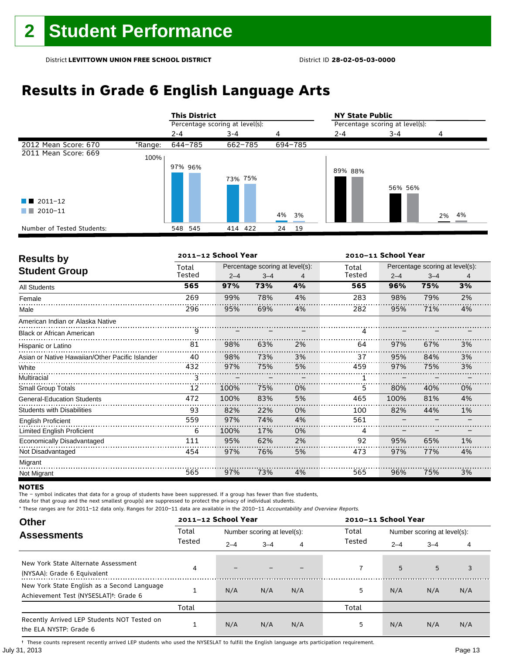## **Results in Grade 6 English Language Arts**

|                            |         | <b>This District</b>            |         |          | <b>NY State Public</b>          |         |       |  |
|----------------------------|---------|---------------------------------|---------|----------|---------------------------------|---------|-------|--|
|                            |         | Percentage scoring at level(s): |         |          | Percentage scoring at level(s): |         |       |  |
|                            |         | $2 - 4$                         | $3 - 4$ | 4        | $2 - 4$                         | $3 - 4$ | 4     |  |
| 2012 Mean Score: 670       | *Range: | 644-785                         | 662-785 | 694-785  |                                 |         |       |  |
| 2011 Mean Score: 669       | 100%    |                                 |         |          |                                 |         |       |  |
|                            |         | 97% 96%                         | 73% 75% |          | 89% 88%                         | 56% 56% |       |  |
| $\blacksquare$ 2011-12     |         |                                 |         |          |                                 |         |       |  |
| 2010-11                    |         |                                 |         | 4% 3%    |                                 |         | 2% 4% |  |
| Number of Tested Students: |         | 548 545                         | 414 422 | 19<br>24 |                                 |         |       |  |

|                                                 |        | 2011-12 School Year |                                 |    |        | 2010-11 School Year |                                 |    |
|-------------------------------------------------|--------|---------------------|---------------------------------|----|--------|---------------------|---------------------------------|----|
|                                                 | Total  |                     | Percentage scoring at level(s): |    | Total  |                     | Percentage scoring at level(s): |    |
| <b>Results by</b><br><b>Student Group</b>       | Tested | $2 - 4$             | $3 - 4$                         | 4  | Tested | $2 - 4$             | $3 - 4$                         | 4  |
| <b>All Students</b>                             | 565    | 97%                 | 73%                             | 4% | 565    | 96%                 | 75%                             | 3% |
| Female                                          | 269    | 99%                 | 78%                             | 4% | 283    | 98%                 | 79%                             | 2% |
| Male                                            | 296    | 95%                 | 69%                             | 4% | 282    | 95%                 | 71%                             | 4% |
| American Indian or Alaska Native                |        |                     |                                 |    |        |                     |                                 |    |
| <b>Black or African American</b>                | 9      |                     |                                 |    | 4      |                     |                                 |    |
| Hispanic or Latino                              | 81     | 98%                 | 63%                             | 2% | 64     | 97%                 | 67%                             | 3% |
| Asian or Native Hawaiian/Other Pacific Islander | 40     | 98%                 | 73%                             | 3% | 37     | 95%                 | 84%                             | 3% |
| White                                           | 432    | 97%                 | 75%                             | 5% | 459    | 97%                 | 75%                             | 3% |
| Multiracial                                     | 3      |                     |                                 |    |        |                     |                                 |    |
| <b>Small Group Totals</b>                       | 12     | 100%                | 75%                             | 0% | 5      | 80%                 | 40%                             | 0% |
| <b>General-Education Students</b>               | 472    | 100%                | 83%                             | 5% | 465    | 100%                | 81%                             | 4% |
| <b>Students with Disabilities</b>               | 93     | 82%                 | 22%                             | 0% | 100    | 82%                 | 44%                             | 1% |
| <b>English Proficient</b>                       | 559    | 97%                 | 74%                             | 4% | 561    |                     |                                 |    |
| <b>Limited English Proficient</b>               | 6      | 100%                | 17%                             | 0% | 4      |                     |                                 |    |
| Economically Disadvantaged                      | 111    | 95%                 | 62%                             | 2% | 92     | 95%                 | 65%                             | 1% |
| Not Disadvantaged                               | 454    | 97%                 | 76%                             | 5% | 473    | 97%                 | 77%                             | 4% |
| Migrant                                         |        |                     |                                 |    |        |                     |                                 |    |
| Not Migrant                                     | 565    | 97%                 | 73%                             | 4% | 565    | 96%                 | 75%                             | 3% |

### **NOTES**

The – symbol indicates that data for a group of students have been suppressed. If a group has fewer than five students,

data for that group and the next smallest group(s) are suppressed to protect the privacy of individual students.

\* These ranges are for 2011–12 data only. Ranges for 2010–11 data are available in the 2010–11 Accountability and Overview Reports.

| <b>Other</b>                                                                                      |        | 2011-12 School Year |                             |     | 2010-11 School Year |                             |         |     |
|---------------------------------------------------------------------------------------------------|--------|---------------------|-----------------------------|-----|---------------------|-----------------------------|---------|-----|
| <b>Assessments</b>                                                                                | Total  |                     | Number scoring at level(s): |     |                     | Number scoring at level(s): |         |     |
|                                                                                                   | Tested | $2 - 4$             | $3 - 4$                     | 4   | Tested              | $2 - 4$                     | $3 - 4$ | 4   |
| New York State Alternate Assessment<br>(NYSAA): Grade 6 Equivalent                                | 4      |                     |                             |     |                     | 5                           | 5       | 3   |
| New York State English as a Second Language<br>Achievement Test (NYSESLAT) <sup>†</sup> : Grade 6 |        | N/A                 | N/A                         | N/A | 5                   | N/A                         | N/A     | N/A |
|                                                                                                   | Total  |                     |                             |     | Total               |                             |         |     |
| Recently Arrived LEP Students NOT Tested on<br>the ELA NYSTP: Grade 6                             |        | N/A                 | N/A                         | N/A | 5                   | N/A                         | N/A     | N/A |

July 31, 2013 Page 13 † These counts represent recently arrived LEP students who used the NYSESLAT to fulfill the English language arts participation requirement.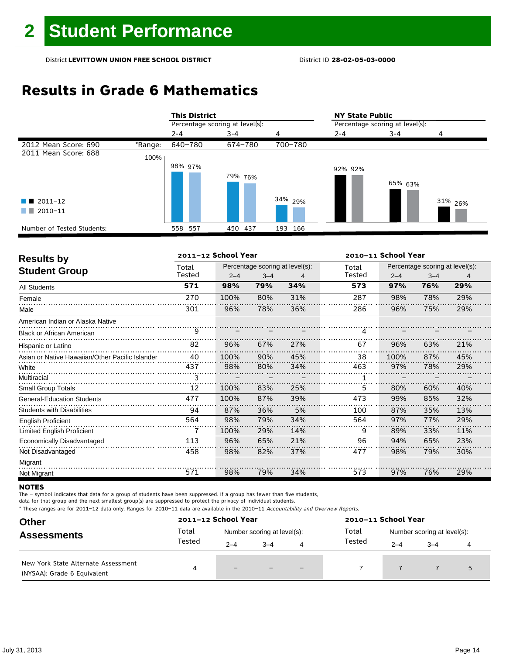## **Results in Grade 6 Mathematics**

|                            |         | <b>This District</b>            |         |                    | <b>NY State Public</b>          |         |                    |  |
|----------------------------|---------|---------------------------------|---------|--------------------|---------------------------------|---------|--------------------|--|
|                            |         | Percentage scoring at level(s): |         |                    | Percentage scoring at level(s): |         |                    |  |
|                            |         | $2 - 4$                         | $3 - 4$ | 4                  | $2 - 4$                         | $3 - 4$ | 4                  |  |
| 2012 Mean Score: 690       | *Range: | 640-780                         | 674-780 | 700-780            |                                 |         |                    |  |
| 2011 Mean Score: 688       | 100%    |                                 |         |                    |                                 |         |                    |  |
|                            |         | 98% 97%                         |         |                    | 92% 92%                         |         |                    |  |
|                            |         |                                 | 79% 76% |                    |                                 | 65% 63% |                    |  |
|                            |         |                                 |         |                    |                                 |         |                    |  |
| $\blacksquare$ 2011-12     |         |                                 |         | 34% <sub>29%</sub> |                                 |         | 31% <sub>26%</sub> |  |
| 2010-11<br>and the         |         |                                 |         |                    |                                 |         |                    |  |
|                            |         |                                 |         |                    |                                 |         |                    |  |
| Number of Tested Students: |         | 558 557                         | 450 437 | 166<br>193         |                                 |         |                    |  |

| <b>Results by</b>                               |        | 2011-12 School Year |         |                                 | 2010-11 School Year |     |                                                                                                                                                                                                                                                          |     |  |
|-------------------------------------------------|--------|---------------------|---------|---------------------------------|---------------------|-----|----------------------------------------------------------------------------------------------------------------------------------------------------------------------------------------------------------------------------------------------------------|-----|--|
| <b>Student Group</b>                            | Total  |                     |         | Percentage scoring at level(s): | Total               |     | Percentage scoring at level(s):<br>$2 - 4$<br>$3 - 4$<br>4<br>29%<br>97%<br>76%<br>98%<br>78%<br>29%<br>96%<br>75%<br>29%<br>96%<br>63%<br>21%<br>100%<br>87%<br>45%<br>97%<br>78%<br>29%<br>80%<br>60%<br>40%<br>32%<br>99%<br>85%<br>87%<br>35%<br>13% |     |  |
|                                                 | Tested | $2 - 4$             | $3 - 4$ | 4                               | Tested              |     |                                                                                                                                                                                                                                                          |     |  |
| <b>All Students</b>                             | 571    | 98%                 | 79%     | 34%                             | 573                 |     |                                                                                                                                                                                                                                                          |     |  |
| Female                                          | 270    | 100%                | 80%     | 31%                             | 287                 |     |                                                                                                                                                                                                                                                          |     |  |
| Male                                            | 301    | 96%                 | 78%     | 36%                             | 286                 |     |                                                                                                                                                                                                                                                          |     |  |
| American Indian or Alaska Native                |        |                     |         |                                 |                     |     |                                                                                                                                                                                                                                                          |     |  |
| <b>Black or African American</b>                | 9      |                     |         |                                 | 4                   |     |                                                                                                                                                                                                                                                          |     |  |
| Hispanic or Latino                              | 82     | 96%                 | 67%     | 27%                             | 67                  |     |                                                                                                                                                                                                                                                          |     |  |
| Asian or Native Hawaiian/Other Pacific Islander | 40     | 100%                | 90%     | 45%                             | 38                  |     |                                                                                                                                                                                                                                                          |     |  |
| White                                           | 437    | 98%                 | 80%     | 34%                             | 463                 |     |                                                                                                                                                                                                                                                          |     |  |
| Multiracial                                     | 3      |                     |         |                                 |                     |     |                                                                                                                                                                                                                                                          |     |  |
| <b>Small Group Totals</b>                       | 12     | 100%                | 83%     | 25%                             | 5                   |     |                                                                                                                                                                                                                                                          |     |  |
| <b>General-Education Students</b>               | 477    | 100%                | 87%     | 39%                             | 473                 |     |                                                                                                                                                                                                                                                          |     |  |
| <b>Students with Disabilities</b>               | 94     | 87%                 | 36%     | 5%                              | 100                 |     |                                                                                                                                                                                                                                                          |     |  |
| <b>English Proficient</b>                       | 564    | 98%                 | 79%     | 34%                             | 564                 | 97% | 77%                                                                                                                                                                                                                                                      | 29% |  |
| <b>Limited English Proficient</b>               | 7      | 100%                | 29%     | 14%                             | 9                   | 89% | 33%                                                                                                                                                                                                                                                      | 11% |  |
| Economically Disadvantaged                      | 113    | 96%                 | 65%     | 21%                             | 96                  | 94% | 65%                                                                                                                                                                                                                                                      | 23% |  |
| Not Disadvantaged                               | 458    | 98%                 | 82%     | 37%                             | 477                 | 98% | 79%                                                                                                                                                                                                                                                      | 30% |  |
| Migrant                                         |        |                     |         |                                 |                     |     |                                                                                                                                                                                                                                                          |     |  |
| Not Migrant                                     | 571    | 98%                 | 79%     | 34%                             | 573                 | 97% | 76%                                                                                                                                                                                                                                                      | 29% |  |

### **NOTES**

The – symbol indicates that data for a group of students have been suppressed. If a group has fewer than five students,

data for that group and the next smallest group(s) are suppressed to protect the privacy of individual students.

| <b>Other</b>                                                       |        | 2011-12 School Year |                             |     | 2010-11 School Year |         |                             |  |
|--------------------------------------------------------------------|--------|---------------------|-----------------------------|-----|---------------------|---------|-----------------------------|--|
| <b>Assessments</b>                                                 | Total  |                     | Number scoring at level(s): |     | Total               |         | Number scoring at level(s): |  |
|                                                                    | Tested | $2 - 4$             | $3 - 4$                     | 4   | Tested              | $2 - 4$ | $-4$                        |  |
| New York State Alternate Assessment<br>(NYSAA): Grade 6 Equivalent | 4      | $-$                 |                             | $-$ |                     |         |                             |  |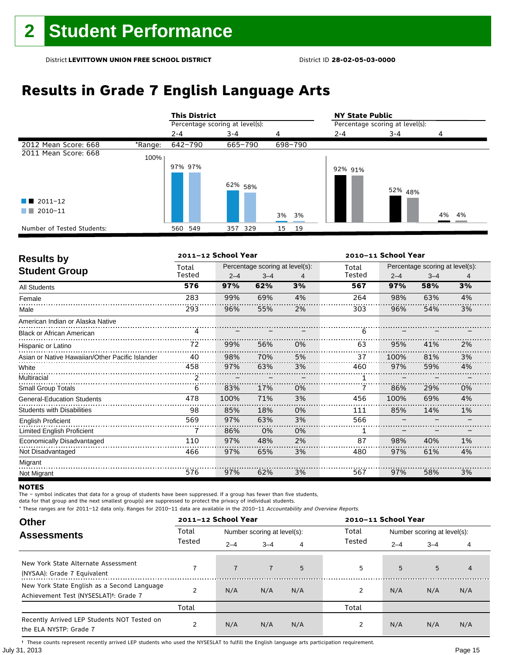## **Results in Grade 7 English Language Arts**

|                            |         | <b>This District</b>            |                    |          | <b>NY State Public</b>          |         |       |  |
|----------------------------|---------|---------------------------------|--------------------|----------|---------------------------------|---------|-------|--|
|                            |         | Percentage scoring at level(s): |                    |          | Percentage scoring at level(s): |         |       |  |
|                            |         | $2 - 4$                         | $3 - 4$            |          | $2 - 4$                         | $3 - 4$ | Δ     |  |
| 2012 Mean Score: 668       | *Range: | 642-790                         | 665-790            | 698-790  |                                 |         |       |  |
| 2011 Mean Score: 668       | 100%    |                                 |                    |          |                                 |         |       |  |
|                            |         | 97% 97%                         | 62% <sub>58%</sub> |          | 92% 91%                         | 52% 48% |       |  |
| $\blacksquare$ 2011-12     |         |                                 |                    |          |                                 |         |       |  |
| 2010-11<br>a sa T          |         |                                 |                    | 3% 3%    |                                 |         | 4% 4% |  |
| Number of Tested Students: |         | 560 549                         | 357 329            | 19<br>15 |                                 |         |       |  |

|                                                 |        | 2011-12 School Year |                                 |    |        | 2010-11 School Year |                                 |    |
|-------------------------------------------------|--------|---------------------|---------------------------------|----|--------|---------------------|---------------------------------|----|
|                                                 | Total  |                     | Percentage scoring at level(s): |    | Total  |                     | Percentage scoring at level(s): |    |
| <b>Results by</b><br><b>Student Group</b>       | Tested | $2 - 4$             | $3 - 4$                         | 4  | Tested | $2 - 4$             | $3 - 4$                         | 4  |
| <b>All Students</b>                             | 576    | 97%                 | 62%                             | 3% | 567    | 97%                 | 58%                             | 3% |
| Female                                          | 283    | 99%                 | 69%                             | 4% | 264    | 98%                 | 63%                             | 4% |
| Male                                            | 293    | 96%                 | 55%                             | 2% | 303    | 96%                 | 54%                             | 3% |
| American Indian or Alaska Native                |        |                     |                                 |    |        |                     |                                 |    |
| <b>Black or African American</b>                | 4      |                     |                                 |    | 6      |                     |                                 |    |
| Hispanic or Latino                              | 72     | 99%                 | 56%                             | 0% | 63     | 95%                 | 41%                             | 2% |
| Asian or Native Hawaiian/Other Pacific Islander | 40     | 98%                 | 70%                             | 5% | 37     | 100%                | 81%                             | 3% |
| White                                           | 458    | 97%                 | 63%                             | 3% | 460    | 97%                 | 59%                             | 4% |
| Multiracial                                     | 2      |                     |                                 |    |        |                     |                                 |    |
| <b>Small Group Totals</b>                       | 6      | 83%                 | 17%                             | 0% |        | 86%                 | 29%                             | 0% |
| <b>General-Education Students</b>               | 478    | 100%                | 71%                             | 3% | 456    | 100%                | 69%                             | 4% |
| <b>Students with Disabilities</b>               | 98     | 85%                 | 18%                             | 0% | 111    | 85%                 | 14%                             | 1% |
| <b>English Proficient</b>                       | 569    | 97%                 | 63%                             | 3% | 566    |                     |                                 |    |
| <b>Limited English Proficient</b>               | 7      | 86%                 | 0%                              | 0% | 1      |                     |                                 |    |
| Economically Disadvantaged                      | 110    | 97%                 | 48%                             | 2% | 87     | 98%                 | 40%                             | 1% |
| Not Disadvantaged                               | 466    | 97%                 | 65%                             | 3% | 480    | 97%                 | 61%                             | 4% |
| Migrant                                         |        |                     |                                 |    |        |                     |                                 |    |
| Not Migrant                                     | 576    | 97%                 | 62%                             | 3% | 567    | 97%                 | 58%                             | 3% |

#### **NOTES**

The – symbol indicates that data for a group of students have been suppressed. If a group has fewer than five students,

data for that group and the next smallest group(s) are suppressed to protect the privacy of individual students.

\* These ranges are for 2011–12 data only. Ranges for 2010–11 data are available in the 2010–11 Accountability and Overview Reports.

| <b>Other</b>                                                                                      |        | 2011-12 School Year |                             |     | 2010-11 School Year |                             |         |                |  |
|---------------------------------------------------------------------------------------------------|--------|---------------------|-----------------------------|-----|---------------------|-----------------------------|---------|----------------|--|
| <b>Assessments</b>                                                                                | Total  |                     | Number scoring at level(s): |     | Total               | Number scoring at level(s): |         |                |  |
|                                                                                                   | Tested | $2 - 4$             | $3 - 4$                     | 4   | Tested              | $2 - 4$                     | $3 - 4$ | 4              |  |
| New York State Alternate Assessment<br>(NYSAA): Grade 7 Equivalent                                |        |                     |                             | 5   | 5                   | 5                           | 5       | $\overline{4}$ |  |
| New York State English as a Second Language<br>Achievement Test (NYSESLAT) <sup>+</sup> : Grade 7 |        | N/A                 | N/A                         | N/A | 2                   | N/A                         | N/A     | N/A            |  |
|                                                                                                   | Total  |                     |                             |     | Total               |                             |         |                |  |
| Recently Arrived LEP Students NOT Tested on<br>the ELA NYSTP: Grade 7                             | 2      | N/A                 | N/A                         | N/A | 2                   | N/A                         | N/A     | N/A            |  |

July 31, 2013 Page 15 † These counts represent recently arrived LEP students who used the NYSESLAT to fulfill the English language arts participation requirement.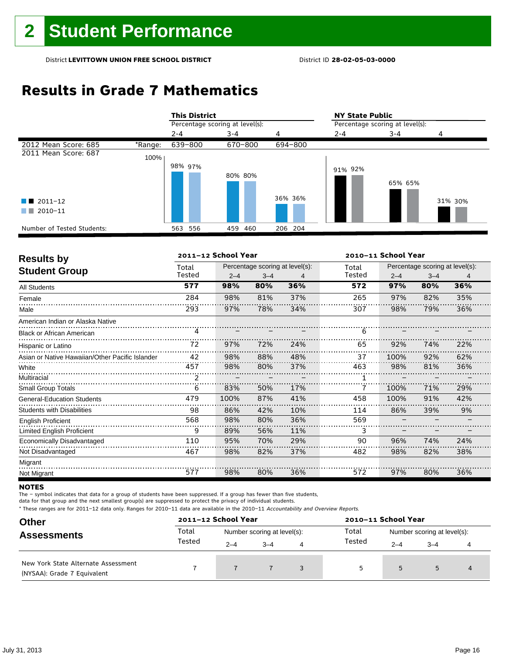## **Results in Grade 7 Mathematics**

|                            |         | <b>This District</b>            |         |         | <b>NY State Public</b><br>Percentage scoring at level(s): |         |         |  |
|----------------------------|---------|---------------------------------|---------|---------|-----------------------------------------------------------|---------|---------|--|
|                            |         | Percentage scoring at level(s): |         |         |                                                           |         |         |  |
|                            |         | $2 - 4$                         | $3 - 4$ | 4       | $2 - 4$                                                   | $3 - 4$ | 4       |  |
| 2012 Mean Score: 685       | *Range: | 639-800                         | 670-800 | 694-800 |                                                           |         |         |  |
| 2011 Mean Score: 687       | 100%    |                                 |         |         |                                                           |         |         |  |
|                            |         | 98% 97%                         |         |         | 91% 92%                                                   |         |         |  |
|                            |         |                                 | 80% 80% |         |                                                           | 65% 65% |         |  |
|                            |         |                                 |         |         |                                                           |         |         |  |
| $\blacksquare$ 2011-12     |         |                                 |         | 36% 36% |                                                           |         | 31% 30% |  |
| 2010-11<br>a sa T          |         |                                 |         |         |                                                           |         |         |  |
|                            |         |                                 |         |         |                                                           |         |         |  |
| Number of Tested Students: |         | 563 556                         | 459 460 | 206 204 |                                                           |         |         |  |

| <b>Results by</b>                               |        | 2011-12 School Year |                                 |     | 2010-11 School Year |                                 |         |     |
|-------------------------------------------------|--------|---------------------|---------------------------------|-----|---------------------|---------------------------------|---------|-----|
| <b>Student Group</b>                            | Total  |                     | Percentage scoring at level(s): |     | Total               | Percentage scoring at level(s): |         |     |
|                                                 | Tested | $2 - 4$             | $3 - 4$                         | 4   | Tested              | $2 - 4$                         | $3 - 4$ | 4   |
| <b>All Students</b>                             | 577    | 98%                 | 80%                             | 36% | 572                 | 97%                             | 80%     | 36% |
| Female                                          | 284    | 98%                 | 81%                             | 37% | 265                 | 97%                             | 82%     | 35% |
| Male                                            | 293    | 97%                 | 78%                             | 34% | 307                 | 98%                             | 79%     | 36% |
| American Indian or Alaska Native                |        |                     |                                 |     |                     |                                 |         |     |
| <b>Black or African American</b>                | 4      |                     |                                 |     | 6                   |                                 |         |     |
| Hispanic or Latino                              | 72     | 97%                 | 72%                             | 24% | 65                  | 92%                             | 74%     | 22% |
| Asian or Native Hawaiian/Other Pacific Islander | 42     | 98%                 | 88%                             | 48% | 37                  | 100%                            | 92%     | 62% |
| White                                           | 457    | 98%                 | 80%                             | 37% | 463                 | 98%                             | 81%     | 36% |
| Multiracial                                     | 2      |                     |                                 |     |                     |                                 |         |     |
| <b>Small Group Totals</b>                       | 6      | 83%                 | 50%                             | 17% |                     | 100%                            | 71%     | 29% |
| <b>General-Education Students</b>               | 479    | 100%                | 87%                             | 41% | 458                 | 100%                            | 91%     | 42% |
| <b>Students with Disabilities</b>               | 98     | 86%                 | 42%                             | 10% | 114                 | 86%                             | 39%     | 9%  |
| <b>English Proficient</b>                       | 568    | 98%                 | 80%                             | 36% | 569                 |                                 |         |     |
| <b>Limited English Proficient</b>               | 9      | 89%                 | 56%                             | 11% | 3                   |                                 |         |     |
| Economically Disadvantaged                      | 110    | 95%                 | 70%                             | 29% | 90                  | 96%                             | 74%     | 24% |
| Not Disadvantaged                               | 467    | 98%                 | 82%                             | 37% | 482                 | 98%                             | 82%     | 38% |
| Migrant                                         |        |                     |                                 |     |                     |                                 |         |     |
| Not Migrant                                     | 577    | 98%                 | 80%                             | 36% | 572                 | 97%                             | 80%     | 36% |

### **NOTES**

The – symbol indicates that data for a group of students have been suppressed. If a group has fewer than five students,

data for that group and the next smallest group(s) are suppressed to protect the privacy of individual students.

| <b>Other</b><br><b>Assessments</b>                                 | 2011-12 School Year |                             |         |   | 2010-11 School Year |                             |         |   |
|--------------------------------------------------------------------|---------------------|-----------------------------|---------|---|---------------------|-----------------------------|---------|---|
|                                                                    | Total               | Number scoring at level(s): |         |   | Total               | Number scoring at level(s): |         |   |
|                                                                    | Tested              | $2 - 4$                     | $3 - 4$ | 4 | Tested              | $2 - 4$                     | $3 - 4$ |   |
| New York State Alternate Assessment<br>(NYSAA): Grade 7 Equivalent |                     |                             |         |   |                     |                             |         | 4 |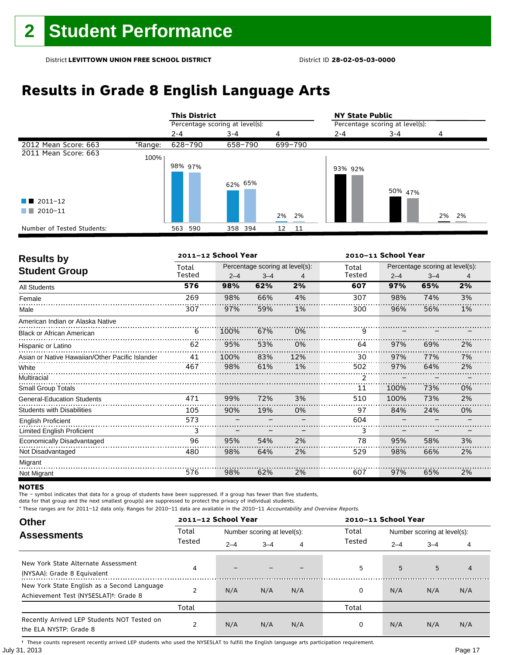## **Results in Grade 8 English Language Arts**

|                            |         | <b>This District</b>            |         |           | <b>NY State Public</b>          |         |       |  |  |
|----------------------------|---------|---------------------------------|---------|-----------|---------------------------------|---------|-------|--|--|
|                            |         | Percentage scoring at level(s): |         |           | Percentage scoring at level(s): |         |       |  |  |
|                            |         | $2 - 4$                         | $3 - 4$ | 4         | $2 - 4$                         | $3 - 4$ | 4     |  |  |
| 2012 Mean Score: 663       | *Range: | 628-790                         | 658-790 | 699-790   |                                 |         |       |  |  |
| 2011 Mean Score: 663       | 100%    |                                 |         |           |                                 |         |       |  |  |
|                            |         | 98% 97%                         | 62% 65% |           | 93% 92%                         | 50% 47% |       |  |  |
| $\blacksquare$ 2011-12     |         |                                 |         |           |                                 |         |       |  |  |
| 2010-11                    |         |                                 |         | 2% 2%     |                                 |         | 2% 2% |  |  |
| Number of Tested Students: |         | 590<br>563                      | 358 394 | 12<br>-11 |                                 |         |       |  |  |

| <b>Results by</b>                               |        | 2011-12 School Year |                                 |     | 2010-11 School Year |         |                                 |    |  |
|-------------------------------------------------|--------|---------------------|---------------------------------|-----|---------------------|---------|---------------------------------|----|--|
| <b>Student Group</b>                            | Total  |                     | Percentage scoring at level(s): |     | Total               |         | Percentage scoring at level(s): |    |  |
|                                                 | Tested | $2 - 4$             | $3 - 4$                         | 4   | Tested              | $2 - 4$ | $3 - 4$                         | 4  |  |
| <b>All Students</b>                             | 576    | 98%                 | 62%                             | 2%  | 607                 | 97%     | 65%                             | 2% |  |
| Female                                          | 269    | 98%                 | 66%                             | 4%  | 307                 | 98%     | 74%                             | 3% |  |
| Male                                            | 307    | 97%                 | 59%                             | 1%  | 300                 | 96%     | 56%                             | 1% |  |
| American Indian or Alaska Native                |        |                     |                                 |     |                     |         |                                 |    |  |
| <b>Black or African American</b>                | 6      | 100%                | 67%                             | 0%  | 9                   |         |                                 |    |  |
| Hispanic or Latino                              | 62     | 95%                 | 53%                             | 0%  | 64                  | 97%     | 69%                             | 2% |  |
| Asian or Native Hawaiian/Other Pacific Islander | 41     | 100%                | 83%                             | 12% | 30                  | 97%     | 77%                             | 7% |  |
| White                                           | 467    | 98%                 | 61%                             | 1%  | 502                 | 97%     | 64%                             | 2% |  |
| Multiracial                                     |        |                     |                                 |     | 2                   |         |                                 |    |  |
| <b>Small Group Totals</b>                       |        |                     |                                 |     | 11                  | 100%    | 73%                             | 0% |  |
| <b>General-Education Students</b>               | 471    | 99%                 | 72%                             | 3%  | 510                 | 100%    | 73%                             | 2% |  |
| <b>Students with Disabilities</b>               | 105    | 90%                 | 19%                             | 0%  | 97                  | 84%     | 24%                             | 0% |  |
| <b>English Proficient</b>                       | 573    |                     |                                 |     | 604                 |         |                                 |    |  |
| Limited English Proficient                      | 3      |                     |                                 |     | 3                   |         |                                 |    |  |
| Economically Disadvantaged                      | 96     | 95%                 | 54%                             | 2%  | 78                  | 95%     | 58%                             | 3% |  |
| Not Disadvantaged                               | 480    | 98%                 | 64%                             | 2%  | 529                 | 98%     | 66%                             | 2% |  |
| Migrant                                         |        |                     |                                 |     |                     |         |                                 |    |  |
| Not Migrant                                     | 576    | 98%                 | 62%                             | 2%  | 607                 | 97%     | 65%                             | 2% |  |

### **NOTES**

The – symbol indicates that data for a group of students have been suppressed. If a group has fewer than five students,

data for that group and the next smallest group(s) are suppressed to protect the privacy of individual students.

\* These ranges are for 2011–12 data only. Ranges for 2010–11 data are available in the 2010–11 Accountability and Overview Reports.

| <b>Other</b>                                                                                      |        | 2011-12 School Year |                             |     | 2010-11 School Year |                             |         |     |  |
|---------------------------------------------------------------------------------------------------|--------|---------------------|-----------------------------|-----|---------------------|-----------------------------|---------|-----|--|
| <b>Assessments</b>                                                                                | Total  |                     | Number scoring at level(s): |     | Total               | Number scoring at level(s): |         |     |  |
|                                                                                                   | Tested | $2 - 4$             | $3 - 4$                     | 4   | Tested              | $2 - 4$                     | $3 - 4$ | 4   |  |
| New York State Alternate Assessment<br>(NYSAA): Grade 8 Equivalent                                | 4      |                     |                             |     | 5                   | 5                           | 5       | 4   |  |
| New York State English as a Second Language<br>Achievement Test (NYSESLAT) <sup>†</sup> : Grade 8 |        | N/A                 | N/A                         | N/A | 0                   | N/A                         | N/A     | N/A |  |
|                                                                                                   | Total  |                     |                             |     | Total               |                             |         |     |  |
| Recently Arrived LEP Students NOT Tested on<br>the ELA NYSTP: Grade 8                             |        | N/A                 | N/A                         | N/A | 0                   | N/A                         | N/A     | N/A |  |

July 31, 2013 Page 17 † These counts represent recently arrived LEP students who used the NYSESLAT to fulfill the English language arts participation requirement.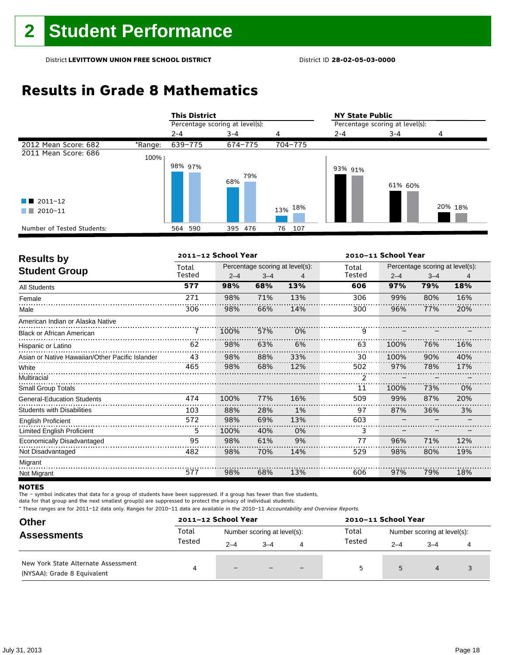## **Results in Grade 8 Mathematics**

|                            |         | <b>This District</b>            |            |                    | <b>NY State Public</b><br>Percentage scoring at level(s): |         |         |  |
|----------------------------|---------|---------------------------------|------------|--------------------|-----------------------------------------------------------|---------|---------|--|
|                            |         | Percentage scoring at level(s): |            |                    |                                                           |         |         |  |
|                            |         | $2 - 4$                         | $3 - 4$    | 4                  | $2 - 4$                                                   | $3 - 4$ | 4       |  |
| 2012 Mean Score: 682       | *Range: | 639-775                         | 674-775    | 704-775            |                                                           |         |         |  |
| 2011 Mean Score: 686       | 100%    |                                 |            |                    |                                                           |         |         |  |
|                            |         | 98% 97%                         |            |                    | 93% 91%                                                   |         |         |  |
|                            |         |                                 | 79%<br>68% |                    |                                                           |         |         |  |
|                            |         |                                 |            |                    |                                                           | 61% 60% |         |  |
| $\blacksquare$ 2011-12     |         |                                 |            |                    |                                                           |         |         |  |
| 2010-11<br>a kacamatan     |         |                                 |            | 13% <sup>18%</sup> |                                                           |         | 20% 18% |  |
|                            |         |                                 |            |                    |                                                           |         |         |  |
| Number of Tested Students: |         | 564 590                         | 395 476    | 76<br>107          |                                                           |         |         |  |

| <b>Results by</b>                               |        | 2011-12 School Year |         |                                 |        | 2010-11 School Year |                                 |     |  |  |
|-------------------------------------------------|--------|---------------------|---------|---------------------------------|--------|---------------------|---------------------------------|-----|--|--|
|                                                 | Total  |                     |         | Percentage scoring at level(s): | Total  |                     | Percentage scoring at level(s): |     |  |  |
| <b>Student Group</b>                            | Tested | $2 - 4$             | $3 - 4$ | 4                               | Tested | $2 - 4$             | $3 - 4$                         | 4   |  |  |
| <b>All Students</b>                             | 577    | 98%                 | 68%     | 13%                             | 606    | 97%                 | 79%                             | 18% |  |  |
| Female                                          | 271    | 98%                 | 71%     | 13%                             | 306    | 99%                 | 80%                             | 16% |  |  |
| Male                                            | 306    | 98%                 | 66%     | 14%                             | 300    | 96%                 | 77%                             | 20% |  |  |
| American Indian or Alaska Native                |        |                     |         |                                 |        |                     |                                 |     |  |  |
| <b>Black or African American</b>                |        | 100%                | 57%     | 0%                              | 9      |                     |                                 |     |  |  |
| Hispanic or Latino                              | 62     | 98%                 | 63%     | 6%                              | 63     | 100%                | 76%                             | 16% |  |  |
| Asian or Native Hawaiian/Other Pacific Islander | 43     | 98%                 | 88%     | 33%                             | 30     | 100%                | 90%                             | 40% |  |  |
| White                                           | 465    | 98%                 | 68%     | 12%                             | 502    | 97%                 | 78%                             | 17% |  |  |
| Multiracial                                     |        |                     |         |                                 | 2      |                     |                                 |     |  |  |
| <b>Small Group Totals</b>                       |        |                     |         |                                 | 11     | 100%                | 73%                             | 0%  |  |  |
| <b>General-Education Students</b>               | 474    | 100%                | 77%     | 16%                             | 509    | 99%                 | 87%                             | 20% |  |  |
| <b>Students with Disabilities</b>               | 103    | 88%                 | 28%     | 1%                              | 97     | 87%                 | 36%                             | 3%  |  |  |
| <b>English Proficient</b>                       | 572    | 98%                 | 69%     | 13%                             | 603    |                     |                                 |     |  |  |
| <b>Limited English Proficient</b>               | 5      | 100%                | 40%     | 0%                              | 3      |                     |                                 |     |  |  |
| Economically Disadvantaged                      | 95     | 98%                 | 61%     | 9%                              | 77     | 96%                 | 71%                             | 12% |  |  |
| Not Disadvantaged                               | 482    | 98%                 | 70%     | 14%                             | 529    | 98%                 | 80%                             | 19% |  |  |
| Migrant                                         |        |                     |         |                                 |        |                     |                                 |     |  |  |
| Not Migrant                                     | 577    | 98%                 | 68%     | 13%                             | 606    | 97%                 | 79%                             | 18% |  |  |

#### **NOTES**

The – symbol indicates that data for a group of students have been suppressed. If a group has fewer than five students,

data for that group and the next smallest group(s) are suppressed to protect the privacy of individual students.

| <b>Other</b><br><b>Assessments</b>                                 | 2011-12 School Year |                             |         |                          | 2010-11 School Year |         |                             |  |  |
|--------------------------------------------------------------------|---------------------|-----------------------------|---------|--------------------------|---------------------|---------|-----------------------------|--|--|
|                                                                    | Total               | Number scoring at level(s): |         |                          | Total               |         | Number scoring at level(s): |  |  |
|                                                                    | Tested              | $2 - 4$                     | $3 - 4$ | 4                        | Tested              | $2 - 4$ | $3 - 4$                     |  |  |
| New York State Alternate Assessment<br>(NYSAA): Grade 8 Equivalent | 4                   |                             |         | $\overline{\phantom{0}}$ |                     | 5       | 4                           |  |  |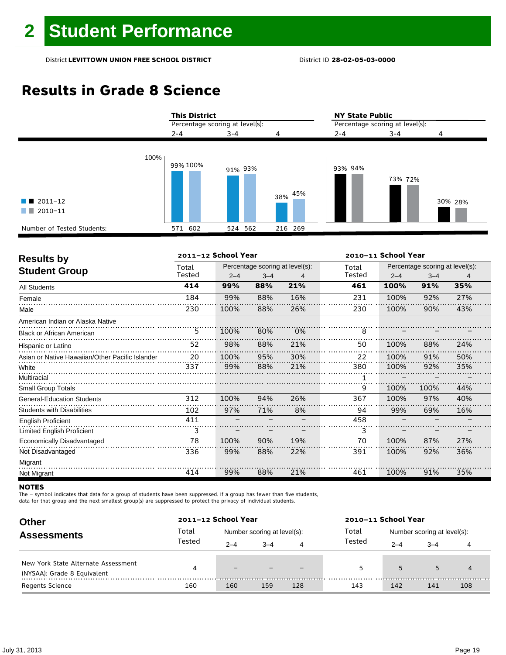## **Results in Grade 8 Science**

|                                                   | <b>This District</b><br>Percentage scoring at level(s): |         |         | <b>NY State Public</b><br>Percentage scoring at level(s): |         |         |  |
|---------------------------------------------------|---------------------------------------------------------|---------|---------|-----------------------------------------------------------|---------|---------|--|
|                                                   | $2 - 4$                                                 | $3 - 4$ | 4       | $2 - 4$                                                   | $3 - 4$ | 4       |  |
| 100%<br>$\blacksquare$ 2011-12<br>2010-11<br>a na | 99% 100%                                                | 91% 93% | 38% 45% | 93% 94%                                                   | 73% 72% | 30% 28% |  |
| Number of Tested Students:                        | 571 602                                                 | 524 562 | 216 269 |                                                           |         |         |  |

| <b>Results by</b>                               |        | 2011-12 School Year |         |                                 |        | 2010-11 School Year             |         |     |  |  |
|-------------------------------------------------|--------|---------------------|---------|---------------------------------|--------|---------------------------------|---------|-----|--|--|
|                                                 | Total  |                     |         | Percentage scoring at level(s): | Total  | Percentage scoring at level(s): |         |     |  |  |
| <b>Student Group</b>                            | Tested | $2 - 4$             | $3 - 4$ | 4                               | Tested | $2 - 4$                         | $3 - 4$ | 4   |  |  |
| <b>All Students</b>                             | 414    | 99%                 | 88%     | 21%                             | 461    | 100%                            | 91%     | 35% |  |  |
| Female                                          | 184    | 99%                 | 88%     | 16%                             | 231    | 100%                            | 92%     | 27% |  |  |
| Male                                            | 230    | 100%                | 88%     | 26%                             | 230    | 100%                            | 90%     | 43% |  |  |
| American Indian or Alaska Native                |        |                     |         |                                 |        |                                 |         |     |  |  |
| <b>Black or African American</b>                | 5      | 100%                | 80%     | 0%                              | 8      |                                 |         |     |  |  |
| Hispanic or Latino                              | 52     | 98%                 | 88%     | 21%                             | 50     | 100%                            | 88%     | 24% |  |  |
| Asian or Native Hawaiian/Other Pacific Islander | 20     | 100%                | 95%     | 30%                             | 22     | 100%                            | 91%     | 50% |  |  |
| White                                           | 337    | 99%                 | 88%     | 21%                             | 380    | 100%                            | 92%     | 35% |  |  |
| Multiracial                                     |        |                     |         |                                 |        |                                 |         |     |  |  |
| <b>Small Group Totals</b>                       |        |                     |         |                                 | 9      | 100%                            | 100%    | 44% |  |  |
| <b>General-Education Students</b>               | 312    | 100%                | 94%     | 26%                             | 367    | 100%                            | 97%     | 40% |  |  |
| <b>Students with Disabilities</b>               | 102    | 97%                 | 71%     | 8%                              | 94     | 99%                             | 69%     | 16% |  |  |
| <b>English Proficient</b>                       | 411    |                     |         |                                 | 458    |                                 |         |     |  |  |
| Limited English Proficient                      | 3      |                     |         |                                 | 3      |                                 |         |     |  |  |
| Economically Disadvantaged                      | 78     | 100%                | 90%     | 19%                             | 70     | 100%                            | 87%     | 27% |  |  |
| Not Disadvantaged                               | 336    | 99%                 | 88%     | 22%                             | 391    | 100%                            | 92%     | 36% |  |  |
| Migrant                                         |        |                     |         |                                 |        |                                 |         |     |  |  |
| Not Migrant                                     | 414    | 99%                 | 88%     | 21%                             | 461    | 100%                            | 91%     | 35% |  |  |

#### **NOTES**

The – symbol indicates that data for a group of students have been suppressed. If a group has fewer than five students,

data for that group and the next smallest group(s) are suppressed to protect the privacy of individual students.

| <b>Other</b>                                                       |        | 2011-12 School Year |                             |     | 2010-11 School Year |                             |         |     |  |
|--------------------------------------------------------------------|--------|---------------------|-----------------------------|-----|---------------------|-----------------------------|---------|-----|--|
| <b>Assessments</b>                                                 | Total  |                     | Number scoring at level(s): |     | Total               | Number scoring at level(s): |         |     |  |
|                                                                    | Tested | $2 - 4$             | $-4$                        | 4   | Tested              | $2 - 4$                     | $3 - 4$ |     |  |
| New York State Alternate Assessment<br>(NYSAA): Grade 8 Equivalent | Δ      |                     |                             |     | 5                   | 5                           | 5       |     |  |
| <b>Regents Science</b>                                             | 160    | 160                 | 159                         | 128 | 143                 | 142                         | 141     | 108 |  |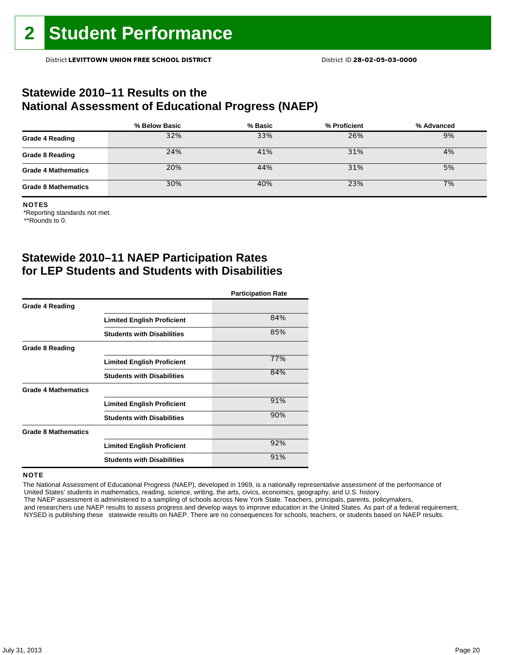### **Statewide 2010–11 Results on the National Assessment of Educational Progress (NAEP)**

|                            | % Below Basic | % Basic | % Proficient | % Advanced |
|----------------------------|---------------|---------|--------------|------------|
| <b>Grade 4 Reading</b>     | 32%           | 33%     | 26%          | 9%         |
| <b>Grade 8 Reading</b>     | 24%           | 41%     | 31%          | 4%         |
| <b>Grade 4 Mathematics</b> | 20%           | 44%     | 31%          | 5%         |
| <b>Grade 8 Mathematics</b> | 30%           | 40%     | 23%          | 7%         |

#### NOTES

\*Reporting standards not met.

\*\*Rounds to 0.

### **Statewide 2010–11 NAEP Participation Rates for LEP Students and Students with Disabilities**

|                            |                                   | <b>Participation Rate</b> |
|----------------------------|-----------------------------------|---------------------------|
| <b>Grade 4 Reading</b>     |                                   |                           |
|                            | <b>Limited English Proficient</b> | 84%                       |
|                            | <b>Students with Disabilities</b> | 85%                       |
| <b>Grade 8 Reading</b>     |                                   |                           |
|                            | <b>Limited English Proficient</b> | 77%                       |
|                            | <b>Students with Disabilities</b> | 84%                       |
| <b>Grade 4 Mathematics</b> |                                   |                           |
|                            | <b>Limited English Proficient</b> | 91%                       |
|                            | <b>Students with Disabilities</b> | 90%                       |
| <b>Grade 8 Mathematics</b> |                                   |                           |
|                            | <b>Limited English Proficient</b> | 92%                       |
|                            | <b>Students with Disabilities</b> | 91%                       |

### **NOTE**

 The National Assessment of Educational Progress (NAEP), developed in 1969, is a nationally representative assessment of the performance of United States' students in mathematics, reading, science, writing, the arts, civics, economics, geography, and U.S. history. The NAEP assessment is administered to a sampling of schools across New York State. Teachers, principals, parents, policymakers,

 and researchers use NAEP results to assess progress and develop ways to improve education in the United States. As part of a federal requirement, NYSED is publishing these statewide results on NAEP. There are no consequences for schools, teachers, or students based on NAEP results.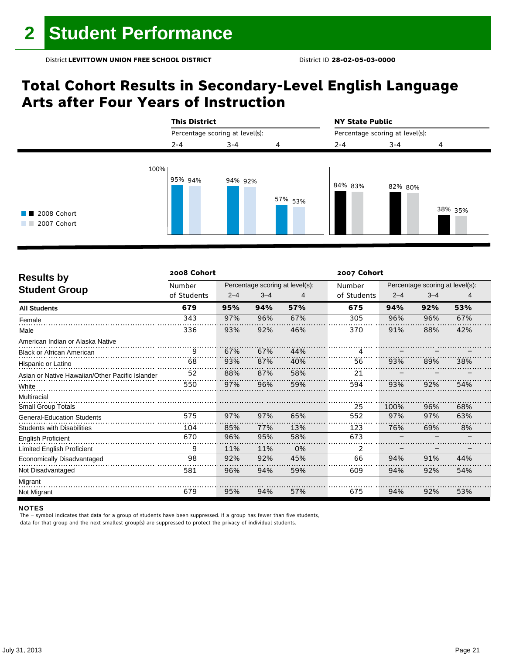## **Total Cohort Results in Secondary-Level English Language Arts after Four Years of Instruction**



| <b>Results by</b>                               | 2008 Cohort |         |         |                                 | 2007 Cohort |         |                                 |     |
|-------------------------------------------------|-------------|---------|---------|---------------------------------|-------------|---------|---------------------------------|-----|
|                                                 | Number      |         |         | Percentage scoring at level(s): | Number      |         | Percentage scoring at level(s): |     |
| <b>Student Group</b>                            | of Students | $2 - 4$ | $3 - 4$ | 4                               | of Students | $2 - 4$ | $3 - 4$                         | 4   |
| <b>All Students</b>                             | 679         | 95%     | 94%     | 57%                             | 675         | 94%     | 92%                             | 53% |
| Female                                          | 343         | 97%     | 96%     | 67%                             | 305         | 96%     | 96%                             | 67% |
| Male                                            | 336         | 93%     | 92%     | 46%                             | 370         | 91%     | 88%                             | 42% |
| American Indian or Alaska Native                |             |         |         |                                 |             |         |                                 |     |
| <b>Black or African American</b>                | 9           | 67%     | 67%     | 44%                             |             |         |                                 |     |
| Hispanic or Latino                              | 68          | 93%     | 87%     | 40%                             | 56          | 93%     | 89%                             | 38% |
| Asian or Native Hawaiian/Other Pacific Islander | 52          | 88%     | 87%     | 58%                             | 21          |         |                                 |     |
| White                                           | 550         | 97%     | 96%     | 59%                             | 594         | 93%     | 92%                             | 54% |
| Multiracial                                     |             |         |         |                                 |             |         |                                 |     |
| <b>Small Group Totals</b>                       |             |         |         |                                 | 25          | 100%    | 96%                             | 68% |
| <b>General-Education Students</b>               | 575         | 97%     | 97%     | 65%                             | 552         | 97%     | 97%                             | 63% |
| <b>Students with Disabilities</b>               | 104         | 85%     | 77%     | 13%                             | 123         | 76%     | 69%                             | 8%  |
| <b>English Proficient</b>                       | 670         | 96%     | 95%     | 58%                             | 673         |         |                                 |     |
| <b>Limited English Proficient</b>               | 9           | 11%     | 11%     | 0%                              | 2           |         |                                 |     |
| Economically Disadvantaged                      | 98          | 92%     | 92%     | 45%                             | 66          | 94%     | 91%                             | 44% |
| Not Disadvantaged                               | 581         | 96%     | 94%     | 59%                             | 609         | 94%     | 92%                             | 54% |
| Migrant                                         |             |         |         |                                 |             |         |                                 |     |
| Not Migrant                                     | 679         | 95%     | 94%     | 57%                             | 675         | 94%     | 92%                             | 53% |

#### NOTES

The – symbol indicates that data for a group of students have been suppressed. If a group has fewer than five students,

data for that group and the next smallest group(s) are suppressed to protect the privacy of individual students.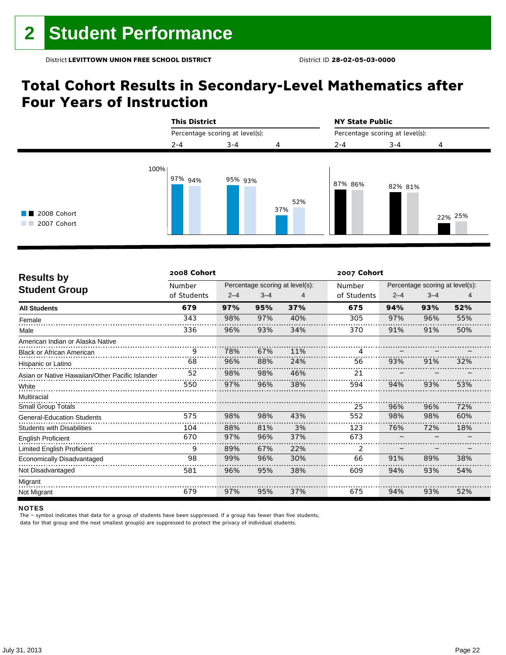## **Total Cohort Results in Secondary-Level Mathematics after Four Years of Instruction**



| <b>Results by</b>                               | 2008 Cohort |         |         | 2007 Cohort                     |             |         |                                 |     |  |  |  |
|-------------------------------------------------|-------------|---------|---------|---------------------------------|-------------|---------|---------------------------------|-----|--|--|--|
|                                                 | Number      |         |         | Percentage scoring at level(s): | Number      |         | Percentage scoring at level(s): |     |  |  |  |
| <b>Student Group</b>                            | of Students | $2 - 4$ | $3 - 4$ | 4                               | of Students | $2 - 4$ | $3 - 4$                         | 4   |  |  |  |
| <b>All Students</b>                             | 679         | 97%     | 95%     | 37%                             | 675         | 94%     | 93%                             | 52% |  |  |  |
| Female                                          | 343         | 98%     | 97%     | 40%                             | 305         | 97%     | 96%                             | 55% |  |  |  |
| Male                                            | 336         | 96%     | 93%     | 34%                             | 370         | 91%     | 91%                             | 50% |  |  |  |
| American Indian or Alaska Native                |             |         |         |                                 |             |         |                                 |     |  |  |  |
| <b>Black or African American</b>                | 9           | 78%     | 67%     | 11%                             |             |         |                                 |     |  |  |  |
| Hispanic or Latino                              | 68          | 96%     | 88%     | 24%                             | 56          | 93%     | 91%                             | 32% |  |  |  |
| Asian or Native Hawaiian/Other Pacific Islander | 52          | 98%     | 98%     | 46%                             | 21          |         |                                 |     |  |  |  |
| White                                           | 550         | 97%     | 96%     | 38%                             | 594         | 94%     | 93%                             | 53% |  |  |  |
| Multiracial                                     |             |         |         |                                 |             |         |                                 |     |  |  |  |
| <b>Small Group Totals</b>                       |             |         |         |                                 | 25          | 96%     | 96%                             | 72% |  |  |  |
| <b>General-Education Students</b>               | 575         | 98%     | 98%     | 43%                             | 552         | 98%     | 98%                             | 60% |  |  |  |
| <b>Students with Disabilities</b>               | 104         | 88%     | 81%     | 3%                              | 123         | 76%     | 72%                             | 18% |  |  |  |
| <b>English Proficient</b>                       | 670         | 97%     | 96%     | 37%                             | 673         |         |                                 |     |  |  |  |
| <b>Limited English Proficient</b>               | 9           | 89%     | 67%     | 22%                             | 2           |         |                                 |     |  |  |  |
| <b>Economically Disadvantaged</b>               | 98          | 99%     | 96%     | 30%                             | 66          | 91%     | 89%                             | 38% |  |  |  |
| Not Disadvantaged                               | 581         | 96%     | 95%     | 38%                             | 609         | 94%     | 93%                             | 54% |  |  |  |
| Migrant                                         |             |         |         |                                 |             |         |                                 |     |  |  |  |
| Not Migrant                                     | 679         | 97%     | 95%     | 37%                             | 675         | 94%     | 93%                             | 52% |  |  |  |

#### NOTES

The – symbol indicates that data for a group of students have been suppressed. If a group has fewer than five students,

data for that group and the next smallest group(s) are suppressed to protect the privacy of individual students.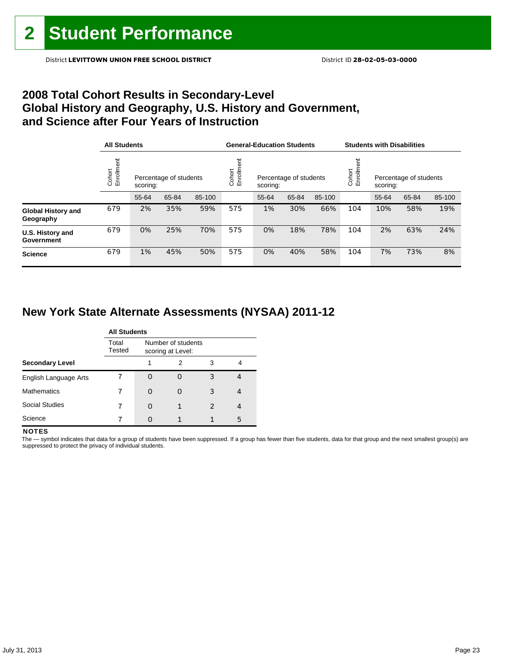### **2008 Total Cohort Results in Secondary-Level Global History and Geography, U.S. History and Government, and Science after Four Years of Instruction**

|                                        | <b>All Students</b>  |          |                        |        |                     | <b>General-Education Students</b> |                        |        | <b>Students with Disabilities</b> |                                    |       |        |
|----------------------------------------|----------------------|----------|------------------------|--------|---------------------|-----------------------------------|------------------------|--------|-----------------------------------|------------------------------------|-------|--------|
|                                        | Cohort<br>Enrollment | scoring: | Percentage of students |        | Enrollmer<br>Cohort | scoring:                          | Percentage of students |        |                                   | Percentage of students<br>scoring: |       |        |
|                                        |                      | 55-64    | 65-84                  | 85-100 |                     | 55-64                             | 65-84                  | 85-100 |                                   | 55-64                              | 65-84 | 85-100 |
| <b>Global History and</b><br>Geography | 679                  | 2%       | 35%                    | 59%    | 575                 | 1%                                | 30%                    | 66%    | 104                               | 10%                                | 58%   | 19%    |
| U.S. History and<br>Government         | 679                  | 0%       | 25%                    | 70%    | 575                 | 0%                                | 18%                    | 78%    | 104                               | 2%                                 | 63%   | 24%    |
| <b>Science</b>                         | 679                  | 1%       | 45%                    | 50%    | 575                 | 0%                                | 40%                    | 58%    | 104                               | 7%                                 | 73%   | 8%     |

### **New York State Alternate Assessments (NYSAA) 2011-12**

| <b>Secondary Level</b> |                 | <b>All Students</b>                     |   |   |   |  |  |  |  |  |  |
|------------------------|-----------------|-----------------------------------------|---|---|---|--|--|--|--|--|--|
|                        | Total<br>Tested | Number of students<br>scoring at Level: |   |   |   |  |  |  |  |  |  |
|                        |                 |                                         | 2 | 3 | 4 |  |  |  |  |  |  |
| English Language Arts  |                 |                                         | O | 3 | 4 |  |  |  |  |  |  |
| <b>Mathematics</b>     |                 | O                                       | O | 3 | 4 |  |  |  |  |  |  |
| <b>Social Studies</b>  |                 |                                         | 1 | 2 | 4 |  |  |  |  |  |  |
| Science                |                 |                                         |   |   | 5 |  |  |  |  |  |  |

#### **NOTES**

The - symbol indicates that data for a group of students have been suppressed. If a group has fewer than five students, data for that group and the next smallest group(s) are suppressed to protect the privacy of individual students.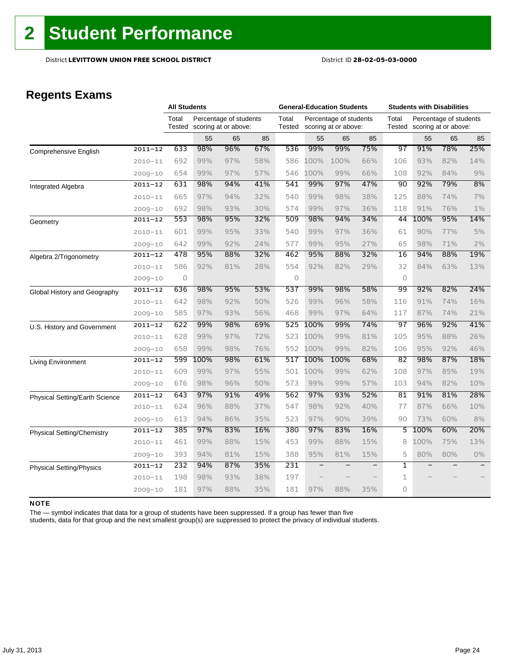### **Regents Exams**

|                                   |             | <b>All Students</b> |      |                                                |     | <b>General-Education Students</b> |                          |                                                |                   | <b>Students with Disabilities</b> |      |                                                |       |
|-----------------------------------|-------------|---------------------|------|------------------------------------------------|-----|-----------------------------------|--------------------------|------------------------------------------------|-------------------|-----------------------------------|------|------------------------------------------------|-------|
|                                   |             | Total<br>Tested     |      | Percentage of students<br>scoring at or above: |     | Total<br><b>Tested</b>            |                          | Percentage of students<br>scoring at or above: |                   | Total<br>Tested                   |      | Percentage of students<br>scoring at or above: |       |
|                                   |             |                     | 55   | 65                                             | 85  |                                   | 55                       | 65                                             | 85                |                                   | 55   | 65                                             | 85    |
| Comprehensive English             | $2011 - 12$ | 633                 | 98%  | 96%                                            | 67% | 536                               | 99%                      | 99%                                            | 75%               | 97                                | 91%  | 78%                                            | 25%   |
|                                   | $2010 - 11$ | 692                 | 99%  | 97%                                            | 58% | 586                               | 100%                     | 100%                                           | 66%               | 106                               | 93%  | 82%                                            | 14%   |
|                                   | $2009 - 10$ | 654                 | 99%  | 97%                                            | 57% | 546                               | 100%                     | 99%                                            | 66%               | 108                               | 92%  | 84%                                            | 9%    |
| <b>Integrated Algebra</b>         | $2011 - 12$ | 631                 | 98%  | 94%                                            | 41% | 541                               | 99%                      | 97%                                            | 47%               | 90                                | 92%  | 79%                                            | 8%    |
|                                   | $2010 - 11$ | 665                 | 97%  | 94%                                            | 32% | 540                               | 99%                      | 98%                                            | 38%               | 125                               | 88%  | 74%                                            | 7%    |
|                                   | $2009 - 10$ | 692                 | 98%  | 93%                                            | 30% | 574                               | 99%                      | 97%                                            | 36%               | 118                               | 91%  | 76%                                            | 1%    |
| Geometry                          | $2011 - 12$ | 553                 | 98%  | 95%                                            | 32% | 509                               | 98%                      | 94%                                            | 34%               | 44                                | 100% | 95%                                            | 14%   |
|                                   | $2010 - 11$ | 601                 | 99%  | 95%                                            | 33% | 540                               | 99%                      | 97%                                            | 36%               | 61                                | 90%  | 77%                                            | 5%    |
|                                   | $2009 - 10$ | 642                 | 99%  | 92%                                            | 24% | 577                               | 99%                      | 95%                                            | 27%               | 65                                | 98%  | 71%                                            | 2%    |
| Algebra 2/Trigonometry            | $2011 - 12$ | 478                 | 95%  | 88%                                            | 32% | 462                               | 95%                      | 88%                                            | 32%               | 16                                | 94%  | 88%                                            | 19%   |
|                                   | $2010 - 11$ | 586                 | 92%  | 81%                                            | 28% | 554                               | 92%                      | 82%                                            | 29%               | 32                                | 84%  | 63%                                            | 13%   |
|                                   | $2009 - 10$ | 0                   |      |                                                |     | 0                                 |                          |                                                |                   | 0                                 |      |                                                |       |
| Global History and Geography      | $2011 - 12$ | 636                 | 98%  | 95%                                            | 53% | 537                               | 99%                      | 98%                                            | 58%               | 99                                | 92%  | 82%                                            | 24%   |
|                                   | $2010 - 11$ | 642                 | 98%  | 92%                                            | 50% | 526                               | 99%                      | 96%                                            | 58%               | 116                               | 91%  | 74%                                            | 16%   |
|                                   | $2009 - 10$ | 585                 | 97%  | 93%                                            | 56% | 468                               | 99%                      | 97%                                            | 64%               | 117                               | 87%  | 74%                                            | 21%   |
| U.S. History and Government       | $2011 - 12$ | 622                 | 99%  | 98%                                            | 69% | 525                               | 100%                     | 99%                                            | 74%               | 97                                | 96%  | 92%                                            | 41%   |
|                                   | $2010 - 11$ | 628                 | 99%  | 97%                                            | 72% | 523                               | 100%                     | 99%                                            | 81%               | 105                               | 95%  | 88%                                            | 26%   |
|                                   | $2009 - 10$ | 658                 | 99%  | 98%                                            | 76% | 552                               | 100%                     | 99%                                            | 82%               | 106                               | 95%  | 92%                                            | 46%   |
| <b>Living Environment</b>         | $2011 - 12$ | 599                 | 100% | 98%                                            | 61% | 517                               | 100%                     | 100%                                           | 68%               | 82                                | 98%  | 87%                                            | 18%   |
|                                   | $2010 - 11$ | 609                 | 99%  | 97%                                            | 55% | 501                               | 100%                     | 99%                                            | 62%               | 108                               | 97%  | 85%                                            | 19%   |
|                                   | $2009 - 10$ | 676                 | 98%  | 96%                                            | 50% | 573                               | 99%                      | 99%                                            | 57%               | 103                               | 94%  | 82%                                            | 10%   |
| Physical Setting/Earth Science    | $2011 - 12$ | 643                 | 97%  | 91%                                            | 49% | 562                               | 97%                      | 93%                                            | 52%               | 81                                | 91%  | 81%                                            | 28%   |
|                                   | $2010 - 11$ | 624                 | 96%  | 88%                                            | 37% | 547                               | 98%                      | 92%                                            | 40%               | 77                                | 87%  | 66%                                            | 10%   |
|                                   | $2009 - 10$ | 613                 | 94%  | 86%                                            | 35% | 523                               | 97%                      | 90%                                            | 39%               | 90                                | 73%  | 60%                                            | 8%    |
| <b>Physical Setting/Chemistry</b> | $2011 - 12$ | 385                 | 97%  | 83%                                            | 16% | 380                               | 97%                      | 83%                                            | 16%               | 5                                 | 100% | 60%                                            | 20%   |
|                                   | $2010 - 11$ | 461                 | 99%  | 88%                                            | 15% | 453                               | 99%                      | 88%                                            | 15%               | 8                                 | 100% | 75%                                            | 13%   |
|                                   | $2009 - 10$ | 393                 | 94%  | 81%                                            | 15% | 388                               | 95%                      | 81%                                            | 15%               | 5                                 | 80%  | 80%                                            | $0\%$ |
| <b>Physical Setting/Physics</b>   | $2011 - 12$ | 232                 | 94%  | 87%                                            | 35% | 231                               | $\overline{\phantom{0}}$ |                                                | $\qquad \qquad -$ | 1                                 |      |                                                |       |
|                                   | $2010 - 11$ | 198                 | 98%  | 93%                                            | 38% | 197                               |                          |                                                | $\qquad \qquad -$ | $\mathbf 1$                       |      |                                                |       |
|                                   | $2009 - 10$ | 181                 | 97%  | 88%                                            | 35% | 181                               | 97%                      | 88%                                            | 35%               | 0                                 |      |                                                |       |

### NOTE

The — symbol indicates that data for a group of students have been suppressed. If a group has fewer than five

students, data for that group and the next smallest group(s) are suppressed to protect the privacy of individual students.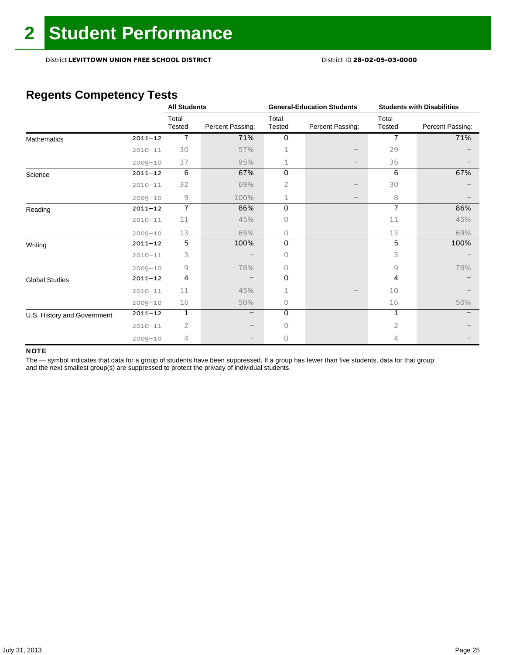District **LEVITTOWN UNION FREE SCHOOL DISTRICT** District ID **28-02-05-03-0000**

### **Regents Competency Tests**

|                             |             | <b>All Students</b> |                  |                 | <b>General-Education Students</b> | <b>Students with Disabilities</b> |                  |  |
|-----------------------------|-------------|---------------------|------------------|-----------------|-----------------------------------|-----------------------------------|------------------|--|
|                             |             | Total<br>Tested     | Percent Passing: | Total<br>Tested | Percent Passing:                  | Total<br>Tested                   | Percent Passing: |  |
| Mathematics                 | $2011 - 12$ | $\overline{1}$      | 71%              | 0               |                                   | $\overline{1}$                    | 71%              |  |
|                             | $2010 - 11$ | 30                  | 57%              | 1               |                                   | 29                                |                  |  |
|                             | $2009 - 10$ | 37                  | 95%              | 1               |                                   | 36                                |                  |  |
| Science                     | $2011 - 12$ | 6                   | 67%              | 0               |                                   | 6                                 | 67%              |  |
|                             | $2010 - 11$ | 32                  | 69%              | 2               |                                   | 30                                |                  |  |
|                             | $2009 - 10$ | 9                   | 100%             | 1               |                                   | 8                                 |                  |  |
| Reading                     | $2011 - 12$ | $\overline{1}$      | 86%              | 0               |                                   | 7                                 | 86%              |  |
|                             | $2010 - 11$ | 11                  | 45%              | Ω               |                                   | 11                                | 45%              |  |
|                             | $2009 - 10$ | 13                  | 69%              | 0               |                                   | 13                                | 69%              |  |
| Writing                     | $2011 - 12$ | 5                   | 100%             | 0               |                                   | 5                                 | 100%             |  |
|                             | $2010 - 11$ | 3                   |                  | 0               |                                   | 3                                 |                  |  |
|                             | $2009 - 10$ | 9                   | 78%              | 0               |                                   | $\overline{9}$                    | 78%              |  |
| <b>Global Studies</b>       | $2011 - 12$ | 4                   |                  | 0               |                                   | 4                                 |                  |  |
|                             | $2010 - 11$ | 11                  | 45%              |                 |                                   | 10                                |                  |  |
|                             | $2009 - 10$ | 16                  | 50%              | 0               |                                   | 16                                | 50%              |  |
| U.S. History and Government | $2011 - 12$ | 1                   |                  | $\Omega$        |                                   |                                   |                  |  |
|                             | $2010 - 11$ | $\overline{2}$      |                  | U               |                                   | $\overline{2}$                    |                  |  |
|                             | $2009 - 10$ | 4                   |                  | Ω               |                                   | 4                                 |                  |  |

### NOTE

The - symbol indicates that data for a group of students have been suppressed. If a group has fewer than five students, data for that group and the next smallest group(s) are suppressed to protect the privacy of individual students.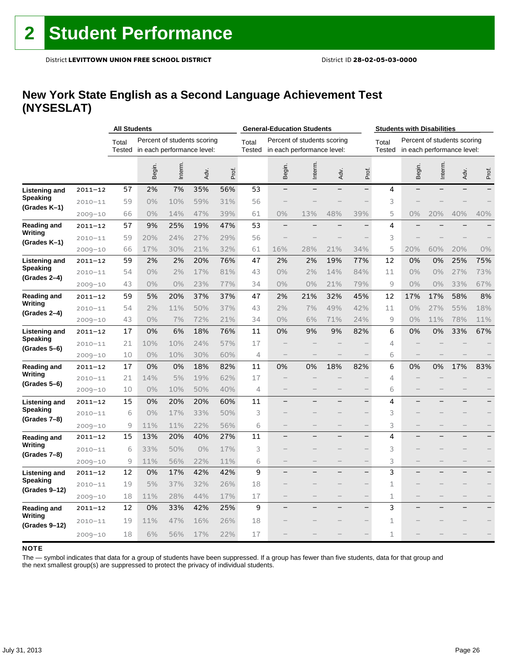### **New York State English as a Second Language Achievement Test (NYSESLAT)**

|                                  |             |               | <b>All Students</b> |                             |      |       |               | <b>General-Education Students</b> |                             |      |                          |                                                           | <b>Students with Disabilities</b> |         |                             |                                 |  |  |
|----------------------------------|-------------|---------------|---------------------|-----------------------------|------|-------|---------------|-----------------------------------|-----------------------------|------|--------------------------|-----------------------------------------------------------|-----------------------------------|---------|-----------------------------|---------------------------------|--|--|
|                                  |             | Total         |                     | Percent of students scoring |      |       | Total         |                                   | Percent of students scoring |      |                          | Total                                                     |                                   |         | Percent of students scoring |                                 |  |  |
|                                  |             | Tested        |                     | in each performance level:  |      |       | <b>Tested</b> |                                   | in each performance level:  |      |                          | <b>Tested</b>                                             |                                   |         | in each performance level:  |                                 |  |  |
|                                  |             |               | Begin.              | Interm.                     | Adv. | Prof. |               | Begin.                            | Interm.                     | Adv. | Prof.                    |                                                           | Begin.                            | Interm. | Adv.                        | Prof.                           |  |  |
| <b>Listening and</b>             | $2011 - 12$ | 57            | 2%                  | 7%                          | 35%  | 56%   | 53            |                                   |                             |      |                          | 4                                                         |                                   |         |                             |                                 |  |  |
| <b>Speaking</b>                  | $2010 - 11$ | 59            | 0%                  | 10%                         | 59%  | 31%   | 56            |                                   |                             |      |                          | 3                                                         |                                   |         |                             |                                 |  |  |
| (Grades K-1)                     | $2009 - 10$ | 66            | 0%                  | 14%                         | 47%  | 39%   | 61            | $0\%$                             | 13%                         | 48%  | 39%                      | 5                                                         | $0\%$                             | 20%     | 40%                         | 40%                             |  |  |
| Reading and                      | $2011 - 12$ | 57            | 9%                  | 25%                         | 19%  | 47%   | 53            |                                   |                             |      |                          | 4                                                         |                                   |         |                             |                                 |  |  |
| Writing<br>(Grades K-1)          | $2010 - 11$ | 59            | 20%                 | 24%                         | 27%  | 29%   | 56            |                                   |                             |      |                          | 3                                                         |                                   |         |                             |                                 |  |  |
|                                  | $2009 - 10$ | 66            | 17%                 | 30%                         | 21%  | 32%   | 61            | 16%                               | 28%                         | 21%  | 34%                      | 5                                                         | 20%                               | 60%     | 20%                         | 0%                              |  |  |
| <b>Listening and</b>             | $2011 - 12$ | 59            | 2%                  | 2%                          | 20%  | 76%   | 47            | 2%                                | 2%                          | 19%  | 77%                      | 12                                                        | 0%                                | 0%      | 25%                         | 75%                             |  |  |
| Speaking<br>(Grades 2-4)         | $2010 - 11$ | 54            | $0\%$               | 2%                          | 17%  | 81%   | 43            | $0\%$                             | 2%                          | 14%  | 84%                      | 11                                                        | $0\%$                             | $0\%$   | 27%                         | 73%                             |  |  |
|                                  | $2009 - 10$ | 43            | 0%                  | 0%                          | 23%  | 77%   | 34            | $0\%$                             | 0%                          | 21%  | 79%                      | 9                                                         | $0\%$                             | $0\%$   | 33%                         | 67%                             |  |  |
| Reading and                      | $2011 - 12$ | 59            | 5%                  | 20%                         | 37%  | 37%   | 47            | 2%                                | 21%                         | 32%  | 45%                      | 12                                                        | 17%                               | 17%     | 58%                         | 8%                              |  |  |
| Writing<br>(Grades 2-4)          | $2010 - 11$ | 54            | 2%                  | 11%                         | 50%  | 37%   | 43            | 2%                                | 7%                          | 49%  | 42%                      | 11                                                        | 0%                                | 27%     | 55%                         | 18%                             |  |  |
|                                  | $2009 - 10$ | 43            | 0%                  | 7%                          | 72%  | 21%   | 34            | $0\%$                             | 6%                          | 71%  | 24%                      | $\mathcal{G}% _{M_{1},M_{2}}^{\alpha,\beta}(\varepsilon)$ | $0\%$                             | 11%     | 78%                         | 11%                             |  |  |
| Listening and                    | $2011 - 12$ | 17            | 0%                  | 6%                          | 18%  | 76%   | 11            | 0%                                | 9%                          | 9%   | 82%                      | 6                                                         | 0%                                | 0%      | 33%                         | 67%                             |  |  |
| <b>Speaking</b><br>(Grades 5–6)  | $2010 - 11$ | 21            | 10%                 | 10%                         | 24%  | 57%   | 17            |                                   |                             |      |                          | 4                                                         |                                   |         |                             |                                 |  |  |
|                                  | $2009 - 10$ | 10            | 0%                  | 10%                         | 30%  | 60%   | 4             |                                   |                             |      |                          | 6                                                         |                                   |         |                             |                                 |  |  |
| <b>Reading and</b>               | $2011 - 12$ | 17            | 0%                  | 0%                          | 18%  | 82%   | 11            | 0%                                | 0%                          | 18%  | 82%                      | 6                                                         | 0%                                | 0%      | 17%                         | 83%                             |  |  |
| Writing<br>(Grades 5–6)          | $2010 - 11$ | 21            | 14%                 | 5%                          | 19%  | 62%   | 17            |                                   |                             |      |                          | 4                                                         |                                   |         |                             |                                 |  |  |
|                                  | $2009 - 10$ | 10            | 0%                  | 10%                         | 50%  | 40%   | 4             |                                   |                             |      |                          | 6                                                         |                                   |         |                             |                                 |  |  |
| Listening and                    | $2011 - 12$ | 15            | 0%                  | 20%                         | 20%  | 60%   | 11            |                                   |                             |      |                          | 4                                                         |                                   |         |                             |                                 |  |  |
| Speaking<br>(Grades 7-8)         | $2010 - 11$ | 6             | 0%                  | 17%                         | 33%  | 50%   | 3             |                                   |                             |      |                          | 3                                                         |                                   |         |                             |                                 |  |  |
|                                  | $2009 - 10$ | $\mathcal{G}$ | 11%                 | 11%                         | 22%  | 56%   | 6             |                                   |                             |      |                          | 3                                                         |                                   |         |                             |                                 |  |  |
| Reading and                      | $2011 - 12$ | 15            | 13%                 | 20%                         | 40%  | 27%   | 11            |                                   |                             |      |                          | 4                                                         |                                   |         |                             |                                 |  |  |
| Writing<br>(Grades 7-8)          | $2010 - 11$ | 6             | 33%                 | 50%                         | 0%   | 17%   | 3             |                                   |                             |      |                          | 3                                                         |                                   |         |                             |                                 |  |  |
|                                  | $2009 - 10$ | $\mathcal{G}$ | 11%                 | 56%                         | 22%  | 11%   | 6             |                                   |                             |      |                          | 3                                                         |                                   |         |                             | $\hspace{0.1mm}-\hspace{0.1mm}$ |  |  |
| Listening and                    | $2011 - 12$ | 12            | 0%                  | 17%                         | 42%  | 42%   | 9             |                                   |                             |      |                          | 3                                                         |                                   |         |                             |                                 |  |  |
| <b>Speaking</b><br>(Grades 9-12) | $2010 - 11$ | 19            | 5%                  | 37%                         | 32%  | 26%   | 18            |                                   |                             |      |                          | 1                                                         |                                   |         |                             |                                 |  |  |
|                                  | $2009 - 10$ | 18            | 11%                 | 28%                         | 44%  | 17%   | 17            |                                   |                             |      |                          | $\mathbf 1$                                               |                                   |         |                             |                                 |  |  |
| <b>Reading and</b>               | $2011 - 12$ | 12            | 0%                  | 33%                         | 42%  | 25%   | 9             |                                   |                             |      | $\overline{\phantom{0}}$ | 3                                                         |                                   |         |                             |                                 |  |  |
| Writing<br>(Grades 9-12)         | $2010 - 11$ | 19            | 11%                 | 47%                         | 16%  | 26%   | 18            |                                   |                             |      |                          | 1                                                         |                                   |         |                             |                                 |  |  |
|                                  | $2009 - 10$ | 18            | 6%                  | 56%                         | 17%  | 22%   | 17            |                                   |                             |      |                          | 1                                                         |                                   |         |                             |                                 |  |  |

### **NOTE**

The — symbol indicates that data for a group of students have been suppressed. If a group has fewer than five students, data for that group and the next smallest group(s) are suppressed to protect the privacy of individual students.